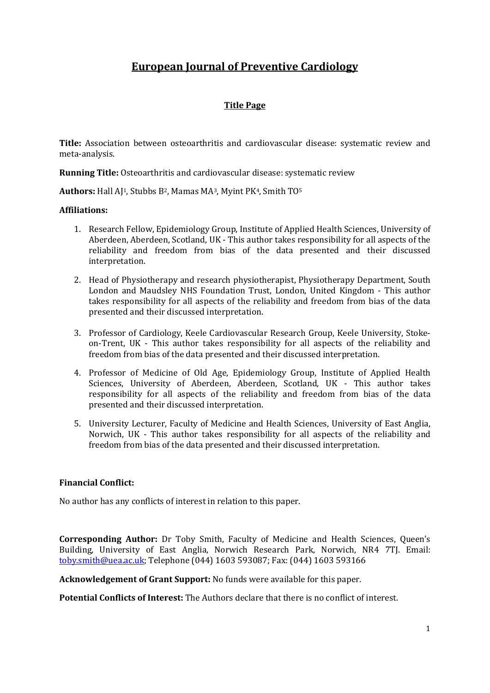# **European Journal of Preventive Cardiology**

# **Title Page**

**Title:** Association between osteoarthritis and cardiovascular disease: systematic review and meta-analysis.

**Running Title:** Osteoarthritis and cardiovascular disease: systematic review

**Authors:** Hall AJ1, Stubbs B2, Mamas MA3, Myint PK4, Smith TO5

## **Affiliations:**

- 1. Research Fellow, Epidemiology Group, Institute of Applied Health Sciences, University of Aberdeen, Aberdeen, Scotland, UK - This author takes responsibility for all aspects of the reliability and freedom from bias of the data presented and their discussed interpretation.
- 2. Head of Physiotherapy and research physiotherapist, Physiotherapy Department, South London and Maudsley NHS Foundation Trust, London, United Kingdom - This author takes responsibility for all aspects of the reliability and freedom from bias of the data presented and their discussed interpretation.
- 3. Professor of Cardiology, Keele Cardiovascular Research Group, Keele University, Stokeon-Trent, UK - This author takes responsibility for all aspects of the reliability and freedom from bias of the data presented and their discussed interpretation.
- 4. Professor of Medicine of Old Age, Epidemiology Group, Institute of Applied Health Sciences, University of Aberdeen, Aberdeen, Scotland, UK - This author takes responsibility for all aspects of the reliability and freedom from bias of the data presented and their discussed interpretation.
- 5. University Lecturer, Faculty of Medicine and Health Sciences, University of East Anglia, Norwich, UK - This author takes responsibility for all aspects of the reliability and freedom from bias of the data presented and their discussed interpretation.

# **Financial Conflict:**

No author has any conflicts of interest in relation to this paper.

**Corresponding Author:** Dr Toby Smith, Faculty of Medicine and Health Sciences, Queen's Building, University of East Anglia, Norwich Research Park, Norwich, NR4 7TJ. Email: [toby.smith@uea.ac.uk;](mailto:toby.smith@uea.ac.uk) Telephone (044) 1603 593087; Fax: (044) 1603 593166

**Acknowledgement of Grant Support:** No funds were available for this paper.

**Potential Conflicts of Interest:** The Authors declare that there is no conflict of interest.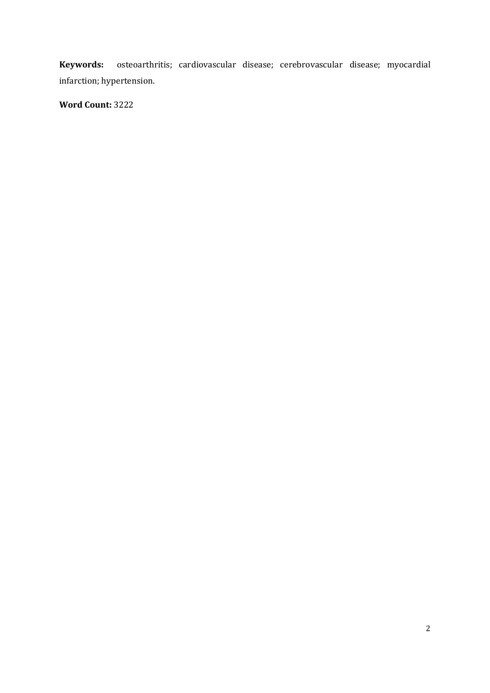**Keywords:** osteoarthritis; cardiovascular disease; cerebrovascular disease; myocardial infarction; hypertension.

**Word Count:** 3222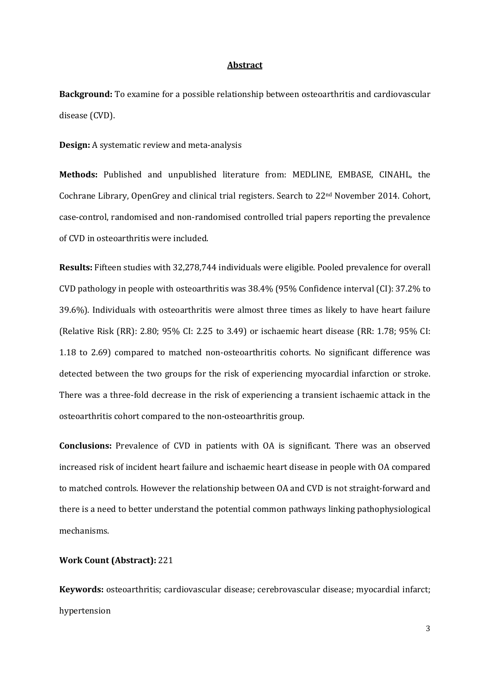## **Abstract**

**Background:** To examine for a possible relationship between osteoarthritis and cardiovascular disease (CVD).

**Design:** A systematic review and meta-analysis

**Methods:** Published and unpublished literature from: MEDLINE, EMBASE, CINAHL, the Cochrane Library, OpenGrey and clinical trial registers. Search to 22nd November 2014. Cohort, case-control, randomised and non-randomised controlled trial papers reporting the prevalence of CVD in osteoarthritis were included.

**Results:** Fifteen studies with 32,278,744 individuals were eligible. Pooled prevalence for overall CVD pathology in people with osteoarthritis was 38.4% (95% Confidence interval (CI): 37.2% to 39.6%). Individuals with osteoarthritis were almost three times as likely to have heart failure (Relative Risk (RR): 2.80; 95% CI: 2.25 to 3.49) or ischaemic heart disease (RR: 1.78; 95% CI: 1.18 to 2.69) compared to matched non-osteoarthritis cohorts. No significant difference was detected between the two groups for the risk of experiencing myocardial infarction or stroke. There was a three-fold decrease in the risk of experiencing a transient ischaemic attack in the osteoarthritis cohort compared to the non-osteoarthritis group.

**Conclusions:** Prevalence of CVD in patients with OA is significant. There was an observed increased risk of incident heart failure and ischaemic heart disease in people with OA compared to matched controls. However the relationship between OA and CVD is not straight-forward and there is a need to better understand the potential common pathways linking pathophysiological mechanisms.

## **Work Count (Abstract):** 221

**Keywords:** osteoarthritis; cardiovascular disease; cerebrovascular disease; myocardial infarct; hypertension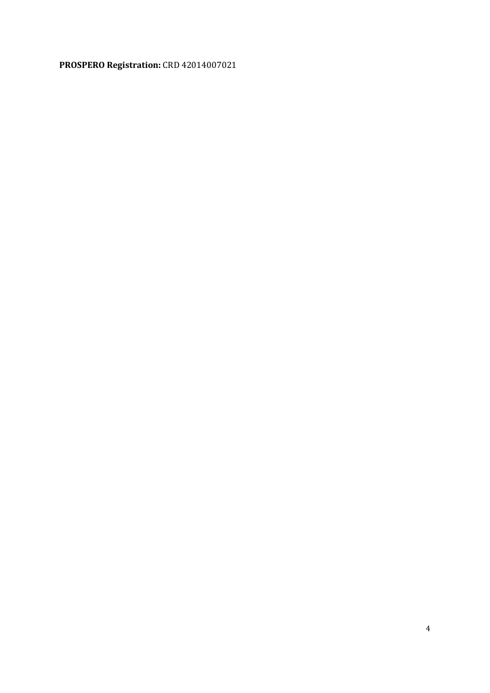# **PROSPERO Registration:** CRD 42014007021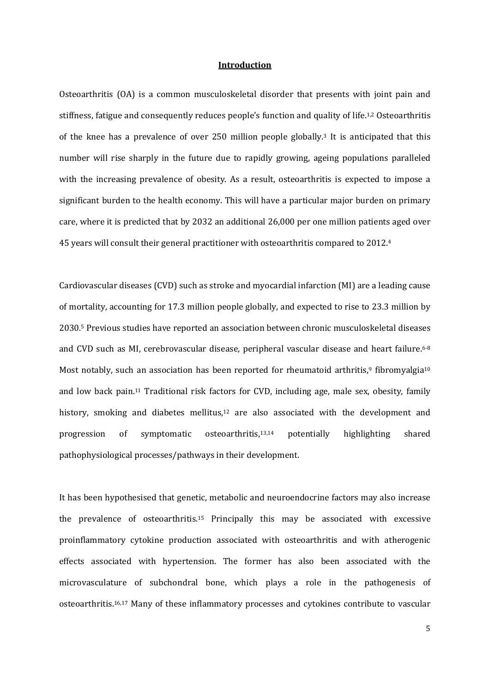#### **Introduction**

Osteoarthritis (OA) is a common musculoskeletal disorder that presents with joint pain and stiffness, fatigue and consequently reduces people's function and quality of life.<sup>1,2</sup> Osteoarthritis of the knee has a prevalence of over 250 million people globally. <sup>3</sup> It is anticipated that this number will rise sharply in the future due to rapidly growing, ageing populations paralleled with the increasing prevalence of obesity. As a result, osteoarthritis is expected to impose a significant burden to the health economy. This will have a particular major burden on primary care, where it is predicted that by 2032 an additional 26,000 per one million patients aged over 45 years will consult their general practitioner with osteoarthritis compared to 2012. 4

Cardiovascular diseases (CVD) such as stroke and myocardial infarction (MI) are a leading cause of mortality, accounting for 17.3 million people globally, and expected to rise to 23.3 million by 2030. <sup>5</sup> Previous studies have reported an association between chronic musculoskeletal diseases and CVD such as MI, cerebrovascular disease, peripheral vascular disease and heart failure.<sup>6-8</sup> Most notably, such an association has been reported for rheumatoid arthritis,<sup>9</sup> fibromyalgia<sup>10</sup> and low back pain.<sup>11</sup> Traditional risk factors for CVD, including age, male sex, obesity, family history, smoking and diabetes mellitus, <sup>12</sup> are also associated with the development and progression of symptomatic osteoarthritis, potentially highlighting shared pathophysiological processes/pathways in their development.

It has been hypothesised that genetic, metabolic and neuroendocrine factors may also increase the prevalence of osteoarthritis. <sup>15</sup> Principally this may be associated with excessive proinflammatory cytokine production associated with osteoarthritis and with atherogenic effects associated with hypertension. The former has also been associated with the microvasculature of subchondral bone, which plays a role in the pathogenesis of osteoarthritis. 16,17 Many of these inflammatory processes and cytokines contribute to vascular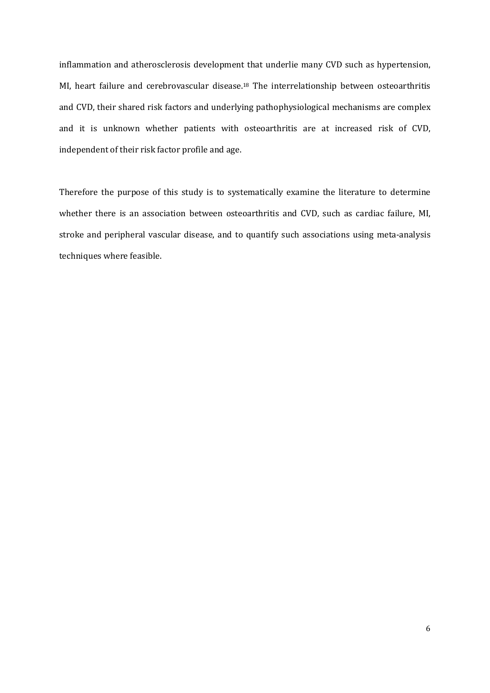inflammation and atherosclerosis development that underlie many CVD such as hypertension, MI, heart failure and cerebrovascular disease.<sup>18</sup> The interrelationship between osteoarthritis and CVD, their shared risk factors and underlying pathophysiological mechanisms are complex and it is unknown whether patients with osteoarthritis are at increased risk of CVD, independent of their risk factor profile and age.

Therefore the purpose of this study is to systematically examine the literature to determine whether there is an association between osteoarthritis and CVD, such as cardiac failure, MI, stroke and peripheral vascular disease, and to quantify such associations using meta-analysis techniques where feasible.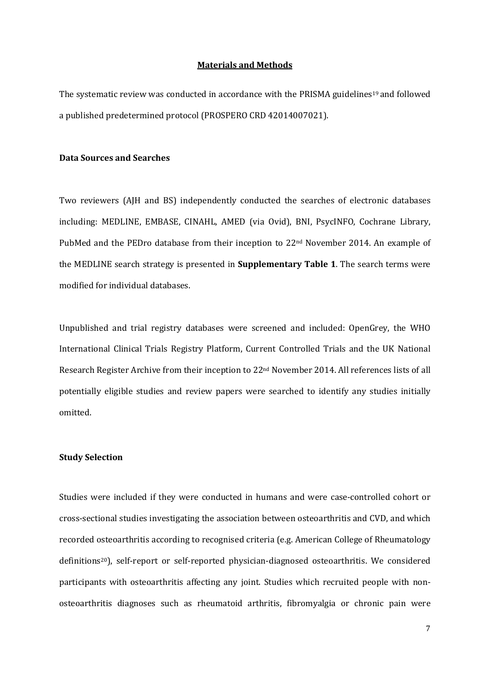#### **Materials and Methods**

The systematic review was conducted in accordance with the PRISMA guidelines<sup>19</sup> and followed a published predetermined protocol (PROSPERO CRD 42014007021).

## **Data Sources and Searches**

Two reviewers (AJH and BS) independently conducted the searches of electronic databases including: MEDLINE, EMBASE, CINAHL, AMED (via Ovid), BNI, PsycINFO, Cochrane Library, PubMed and the PEDro database from their inception to 22<sup>nd</sup> November 2014. An example of the MEDLINE search strategy is presented in **Supplementary Table 1**. The search terms were modified for individual databases.

Unpublished and trial registry databases were screened and included: OpenGrey, the WHO International Clinical Trials Registry Platform, Current Controlled Trials and the UK National Research Register Archive from their inception to 22nd November 2014. All references lists of all potentially eligible studies and review papers were searched to identify any studies initially omitted.

### **Study Selection**

Studies were included if they were conducted in humans and were case-controlled cohort or cross-sectional studies investigating the association between osteoarthritis and CVD, and which recorded osteoarthritis according to recognised criteria (e.g. American College of Rheumatology definitions20), self-report or self-reported physician-diagnosed osteoarthritis. We considered participants with osteoarthritis affecting any joint. Studies which recruited people with nonosteoarthritis diagnoses such as rheumatoid arthritis, fibromyalgia or chronic pain were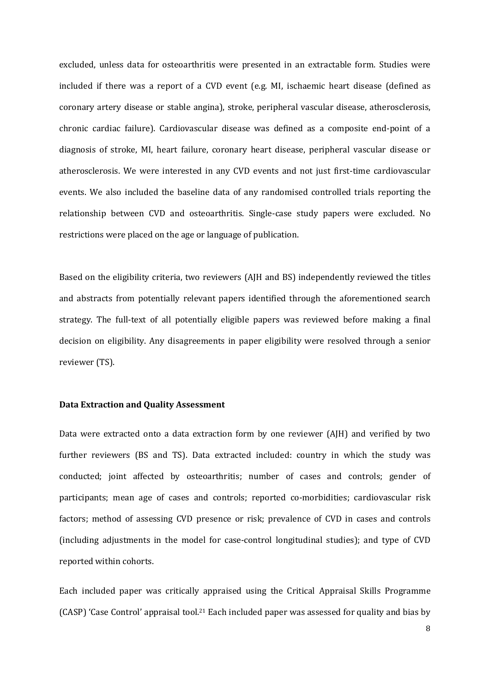excluded, unless data for osteoarthritis were presented in an extractable form. Studies were included if there was a report of a CVD event (e.g. MI, ischaemic heart disease (defined as coronary artery disease or stable angina), stroke, peripheral vascular disease, atherosclerosis, chronic cardiac failure). Cardiovascular disease was defined as a composite end-point of a diagnosis of stroke, MI, heart failure, coronary heart disease, peripheral vascular disease or atherosclerosis. We were interested in any CVD events and not just first-time cardiovascular events. We also included the baseline data of any randomised controlled trials reporting the relationship between CVD and osteoarthritis. Single-case study papers were excluded. No restrictions were placed on the age or language of publication.

Based on the eligibility criteria, two reviewers (AJH and BS) independently reviewed the titles and abstracts from potentially relevant papers identified through the aforementioned search strategy. The full-text of all potentially eligible papers was reviewed before making a final decision on eligibility. Any disagreements in paper eligibility were resolved through a senior reviewer (TS).

### **Data Extraction and Quality Assessment**

Data were extracted onto a data extraction form by one reviewer (AJH) and verified by two further reviewers (BS and TS). Data extracted included: country in which the study was conducted; joint affected by osteoarthritis; number of cases and controls; gender of participants; mean age of cases and controls; reported co-morbidities; cardiovascular risk factors; method of assessing CVD presence or risk; prevalence of CVD in cases and controls (including adjustments in the model for case-control longitudinal studies); and type of CVD reported within cohorts.

Each included paper was critically appraised using the Critical Appraisal Skills Programme (CASP) 'Case Control' appraisal tool.21 Each included paper was assessed for quality and bias by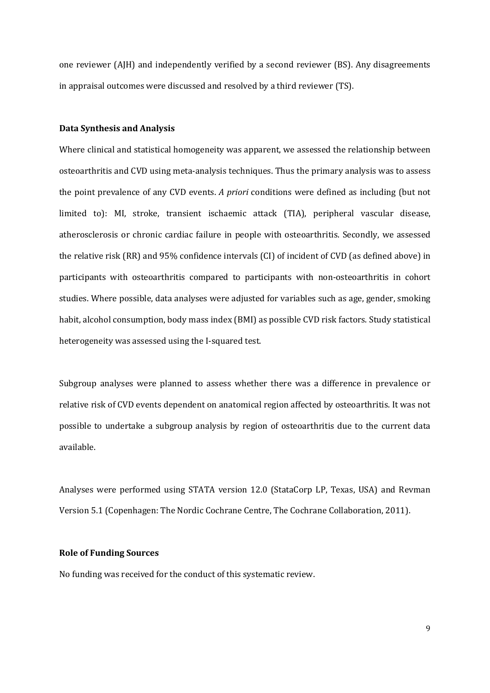one reviewer (AJH) and independently verified by a second reviewer (BS). Any disagreements in appraisal outcomes were discussed and resolved by a third reviewer (TS).

#### **Data Synthesis and Analysis**

Where clinical and statistical homogeneity was apparent, we assessed the relationship between osteoarthritis and CVD using meta-analysis techniques. Thus the primary analysis was to assess the point prevalence of any CVD events. *A priori* conditions were defined as including (but not limited to): MI, stroke, transient ischaemic attack (TIA), peripheral vascular disease, atherosclerosis or chronic cardiac failure in people with osteoarthritis. Secondly, we assessed the relative risk (RR) and 95% confidence intervals (CI) of incident of CVD (as defined above) in participants with osteoarthritis compared to participants with non-osteoarthritis in cohort studies. Where possible, data analyses were adjusted for variables such as age, gender, smoking habit, alcohol consumption, body mass index (BMI) as possible CVD risk factors. Study statistical heterogeneity was assessed using the I-squared test.

Subgroup analyses were planned to assess whether there was a difference in prevalence or relative risk of CVD events dependent on anatomical region affected by osteoarthritis. It was not possible to undertake a subgroup analysis by region of osteoarthritis due to the current data available.

Analyses were performed using STATA version 12.0 (StataCorp LP, Texas, USA) and Revman Version 5.1 (Copenhagen: The Nordic Cochrane Centre, The Cochrane Collaboration, 2011).

## **Role of Funding Sources**

No funding was received for the conduct of this systematic review.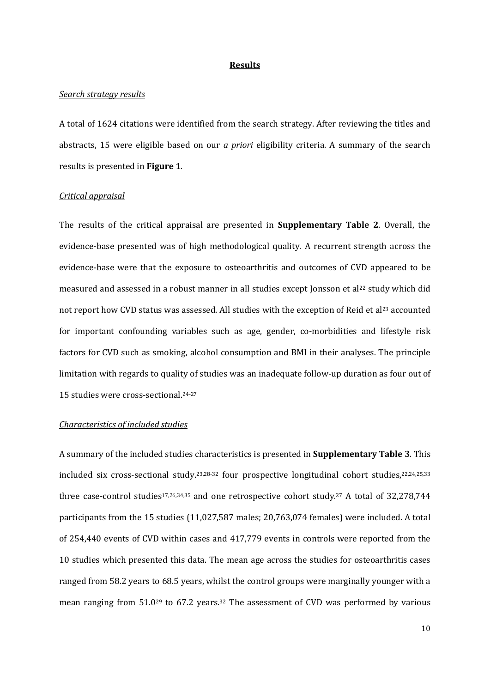#### **Results**

#### *Search strategy results*

A total of 1624 citations were identified from the search strategy. After reviewing the titles and abstracts, 15 were eligible based on our *a priori* eligibility criteria. A summary of the search results is presented in **Figure 1**.

#### *Critical appraisal*

The results of the critical appraisal are presented in **Supplementary Table 2**. Overall, the evidence-base presented was of high methodological quality. A recurrent strength across the evidence-base were that the exposure to osteoarthritis and outcomes of CVD appeared to be measured and assessed in a robust manner in all studies except Jonsson et al<sup>22</sup> study which did not report how CVD status was assessed. All studies with the exception of Reid et al<sup>23</sup> accounted for important confounding variables such as age, gender, co-morbidities and lifestyle risk factors for CVD such as smoking, alcohol consumption and BMI in their analyses. The principle limitation with regards to quality of studies was an inadequate follow-up duration as four out of 15 studies were cross-sectional. 24-27

#### *Characteristics of included studies*

A summary of the included studies characteristics is presented in **Supplementary Table 3**. This included six cross-sectional study. 23,28-32 four prospective longitudinal cohort studies, 22,24,25,33 three case-control studies<sup>17,26,34,35</sup> and one retrospective cohort study.<sup>27</sup> A total of 32,278,744 participants from the 15 studies (11,027,587 males; 20,763,074 females) were included. A total of 254,440 events of CVD within cases and 417,779 events in controls were reported from the 10 studies which presented this data. The mean age across the studies for osteoarthritis cases ranged from 58.2 years to 68.5 years, whilst the control groups were marginally younger with a mean ranging from 51.029 to 67.2 years. <sup>32</sup> The assessment of CVD was performed by various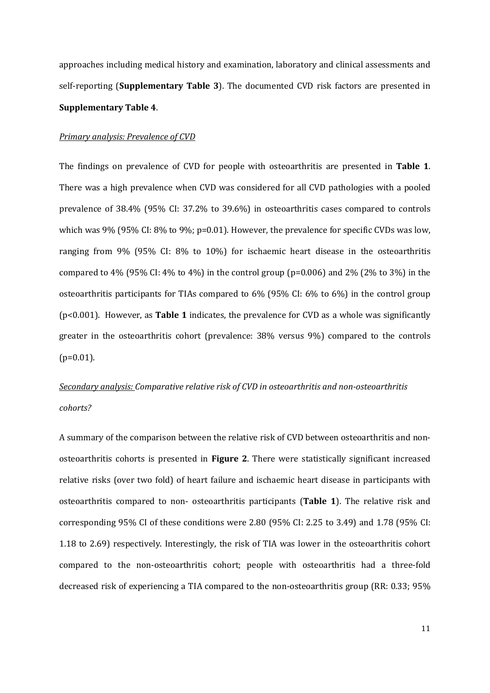approaches including medical history and examination, laboratory and clinical assessments and self-reporting (**Supplementary Table 3**). The documented CVD risk factors are presented in **Supplementary Table 4**.

#### *Primary analysis: Prevalence of CVD*

The findings on prevalence of CVD for people with osteoarthritis are presented in **Table 1**. There was a high prevalence when CVD was considered for all CVD pathologies with a pooled prevalence of 38.4% (95% CI: 37.2% to 39.6%) in osteoarthritis cases compared to controls which was 9% (95% CI: 8% to 9%; p=0.01). However, the prevalence for specific CVDs was low, ranging from 9% (95% CI: 8% to 10%) for ischaemic heart disease in the osteoarthritis compared to 4% (95% CI: 4% to 4%) in the control group (p=0.006) and 2% (2% to 3%) in the osteoarthritis participants for TIAs compared to 6% (95% CI: 6% to 6%) in the control group (p<0.001). However, as **Table 1** indicates, the prevalence for CVD as a whole was significantly greater in the osteoarthritis cohort (prevalence: 38% versus 9%) compared to the controls  $(p=0.01)$ .

# *Secondary analysis: Comparative relative risk of CVD in osteoarthritis and non-osteoarthritis cohorts?*

A summary of the comparison between the relative risk of CVD between osteoarthritis and nonosteoarthritis cohorts is presented in **Figure 2**. There were statistically significant increased relative risks (over two fold) of heart failure and ischaemic heart disease in participants with osteoarthritis compared to non- osteoarthritis participants (**Table 1**). The relative risk and corresponding 95% CI of these conditions were 2.80 (95% CI: 2.25 to 3.49) and 1.78 (95% CI: 1.18 to 2.69) respectively. Interestingly, the risk of TIA was lower in the osteoarthritis cohort compared to the non-osteoarthritis cohort; people with osteoarthritis had a three-fold decreased risk of experiencing a TIA compared to the non-osteoarthritis group (RR: 0.33; 95%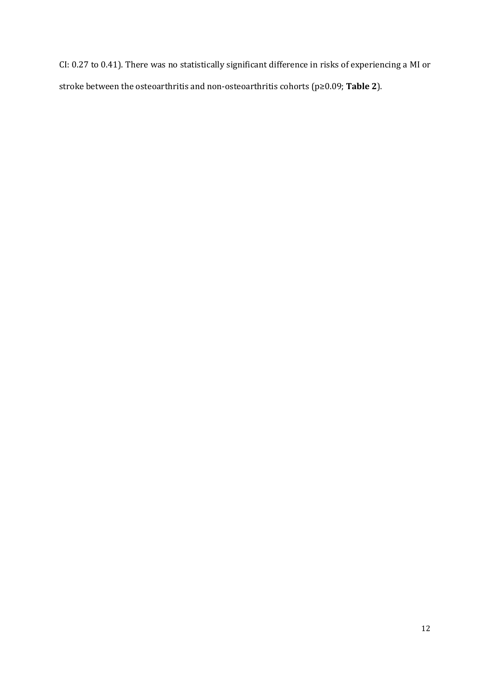CI: 0.27 to 0.41). There was no statistically significant difference in risks of experiencing a MI or stroke between the osteoarthritis and non-osteoarthritis cohorts (p≥0.09; **Table 2**).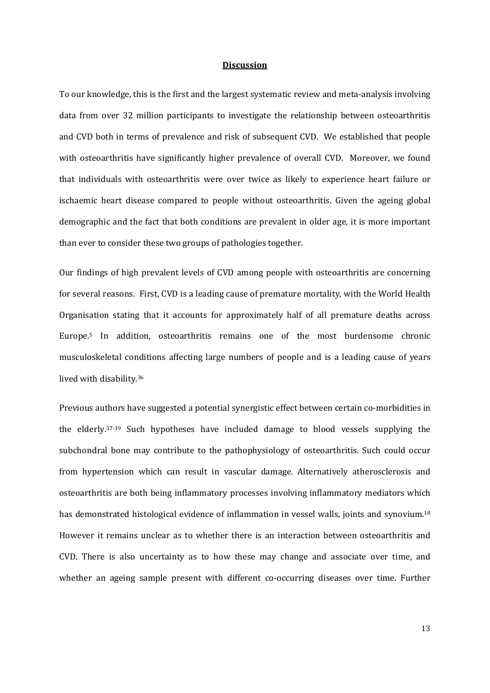#### **Discussion**

To our knowledge, this is the first and the largest systematic review and meta-analysis involving data from over 32 million participants to investigate the relationship between osteoarthritis and CVD both in terms of prevalence and risk of subsequent CVD. We established that people with osteoarthritis have significantly higher prevalence of overall CVD. Moreover, we found that individuals with osteoarthritis were over twice as likely to experience heart failure or ischaemic heart disease compared to people without osteoarthritis. Given the ageing global demographic and the fact that both conditions are prevalent in older age, it is more important than ever to consider these two groups of pathologies together.

Our findings of high prevalent levels of CVD among people with osteoarthritis are concerning for several reasons. First, CVD is a leading cause of premature mortality, with the World Health Organisation stating that it accounts for approximately half of all premature deaths across Europe. <sup>5</sup> In addition, osteoarthritis remains one of the most burdensome chronic musculoskeletal conditions affecting large numbers of people and is a leading cause of years lived with disability. 36

Previous authors have suggested a potential synergistic effect between certain co-morbidities in the elderly. 37-39 Such hypotheses have included damage to blood vessels supplying the subchondral bone may contribute to the pathophysiology of osteoarthritis. Such could occur from hypertension which can result in vascular damage. Alternatively atherosclerosis and osteoarthritis are both being inflammatory processes involving inflammatory mediators which has demonstrated histological evidence of inflammation in vessel walls, joints and synovium. 18 However it remains unclear as to whether there is an interaction between osteoarthritis and CVD. There is also uncertainty as to how these may change and associate over time, and whether an ageing sample present with different co-occurring diseases over time. Further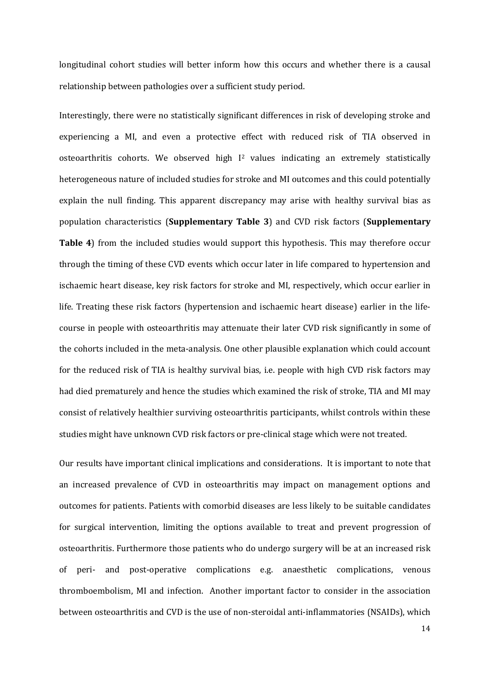longitudinal cohort studies will better inform how this occurs and whether there is a causal relationship between pathologies over a sufficient study period.

Interestingly, there were no statistically significant differences in risk of developing stroke and experiencing a MI, and even a protective effect with reduced risk of TIA observed in osteoarthritis cohorts. We observed high I2 values indicating an extremely statistically heterogeneous nature of included studies for stroke and MI outcomes and this could potentially explain the null finding. This apparent discrepancy may arise with healthy survival bias as population characteristics (**Supplementary Table 3**) and CVD risk factors (**Supplementary Table 4**) from the included studies would support this hypothesis. This may therefore occur through the timing of these CVD events which occur later in life compared to hypertension and ischaemic heart disease, key risk factors for stroke and MI, respectively, which occur earlier in life. Treating these risk factors (hypertension and ischaemic heart disease) earlier in the lifecourse in people with osteoarthritis may attenuate their later CVD risk significantly in some of the cohorts included in the meta-analysis. One other plausible explanation which could account for the reduced risk of TIA is healthy survival bias, i.e. people with high CVD risk factors may had died prematurely and hence the studies which examined the risk of stroke, TIA and MI may consist of relatively healthier surviving osteoarthritis participants, whilst controls within these studies might have unknown CVD risk factors or pre-clinical stage which were not treated.

Our results have important clinical implications and considerations. It is important to note that an increased prevalence of CVD in osteoarthritis may impact on management options and outcomes for patients. Patients with comorbid diseases are less likely to be suitable candidates for surgical intervention, limiting the options available to treat and prevent progression of osteoarthritis. Furthermore those patients who do undergo surgery will be at an increased risk of peri- and post-operative complications e.g. anaesthetic complications, venous thromboembolism, MI and infection. Another important factor to consider in the association between osteoarthritis and CVD is the use of non-steroidal anti-inflammatories (NSAIDs), which

14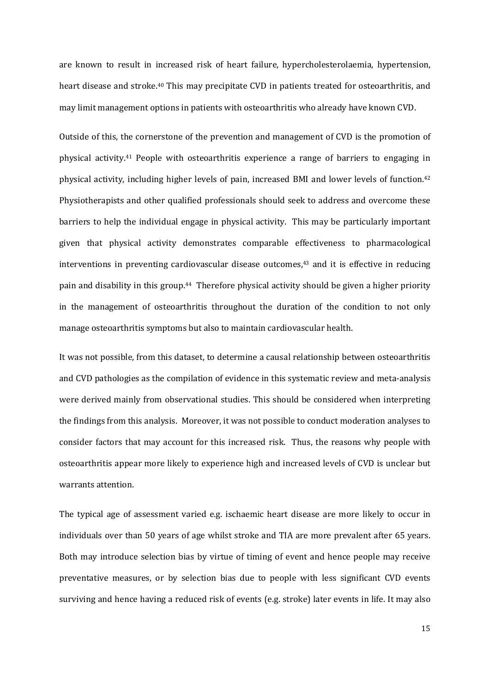are known to result in increased risk of heart failure, hypercholesterolaemia, hypertension, heart disease and stroke.<sup>40</sup> This may precipitate CVD in patients treated for osteoarthritis, and may limit management options in patients with osteoarthritis who already have known CVD.

Outside of this, the cornerstone of the prevention and management of CVD is the promotion of physical activity. <sup>41</sup> People with osteoarthritis experience a range of barriers to engaging in physical activity, including higher levels of pain, increased BMI and lower levels of function. 42 Physiotherapists and other qualified professionals should seek to address and overcome these barriers to help the individual engage in physical activity. This may be particularly important given that physical activity demonstrates comparable effectiveness to pharmacological interventions in preventing cardiovascular disease outcomes, <sup>43</sup> and it is effective in reducing pain and disability in this group. 44 Therefore physical activity should be given a higher priority in the management of osteoarthritis throughout the duration of the condition to not only manage osteoarthritis symptoms but also to maintain cardiovascular health.

It was not possible, from this dataset, to determine a causal relationship between osteoarthritis and CVD pathologies as the compilation of evidence in this systematic review and meta-analysis were derived mainly from observational studies. This should be considered when interpreting the findings from this analysis. Moreover, it was not possible to conduct moderation analyses to consider factors that may account for this increased risk. Thus, the reasons why people with osteoarthritis appear more likely to experience high and increased levels of CVD is unclear but warrants attention.

The typical age of assessment varied e.g. ischaemic heart disease are more likely to occur in individuals over than 50 years of age whilst stroke and TIA are more prevalent after 65 years. Both may introduce selection bias by virtue of timing of event and hence people may receive preventative measures, or by selection bias due to people with less significant CVD events surviving and hence having a reduced risk of events (e.g. stroke) later events in life. It may also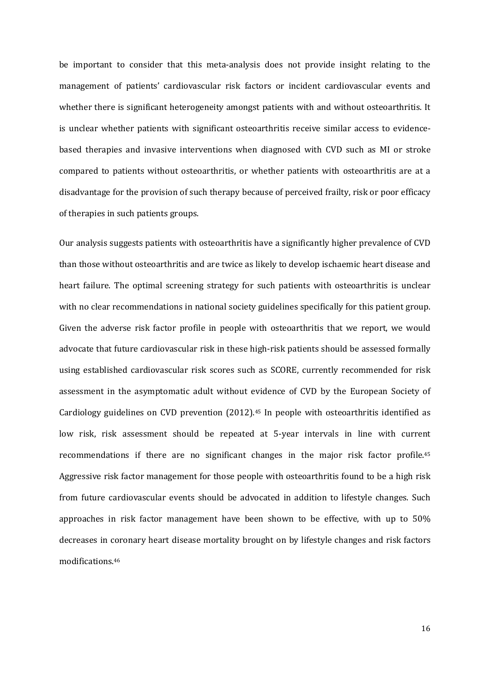be important to consider that this meta-analysis does not provide insight relating to the management of patients' cardiovascular risk factors or incident cardiovascular events and whether there is significant heterogeneity amongst patients with and without osteoarthritis. It is unclear whether patients with significant osteoarthritis receive similar access to evidencebased therapies and invasive interventions when diagnosed with CVD such as MI or stroke compared to patients without osteoarthritis, or whether patients with osteoarthritis are at a disadvantage for the provision of such therapy because of perceived frailty, risk or poor efficacy of therapies in such patients groups.

Our analysis suggests patients with osteoarthritis have a significantly higher prevalence of CVD than those without osteoarthritis and are twice as likely to develop ischaemic heart disease and heart failure. The optimal screening strategy for such patients with osteoarthritis is unclear with no clear recommendations in national society guidelines specifically for this patient group. Given the adverse risk factor profile in people with osteoarthritis that we report, we would advocate that future cardiovascular risk in these high-risk patients should be assessed formally using established cardiovascular risk scores such as SCORE, currently recommended for risk assessment in the asymptomatic adult without evidence of CVD by the European Society of Cardiology guidelines on CVD prevention (2012). <sup>45</sup> In people with osteoarthritis identified as low risk, risk assessment should be repeated at 5-year intervals in line with current recommendations if there are no significant changes in the major risk factor profile. 45 Aggressive risk factor management for those people with osteoarthritis found to be a high risk from future cardiovascular events should be advocated in addition to lifestyle changes. Such approaches in risk factor management have been shown to be effective, with up to 50% decreases in coronary heart disease mortality brought on by lifestyle changes and risk factors modifications. 46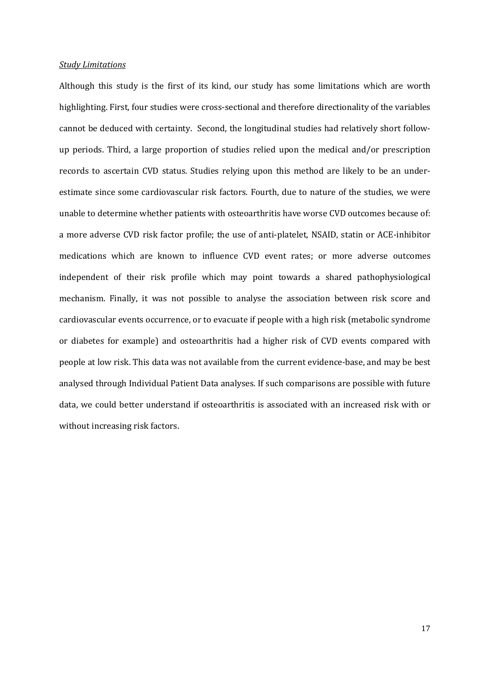#### *Study Limitations*

Although this study is the first of its kind, our study has some limitations which are worth highlighting. First, four studies were cross-sectional and therefore directionality of the variables cannot be deduced with certainty. Second, the longitudinal studies had relatively short followup periods. Third, a large proportion of studies relied upon the medical and/or prescription records to ascertain CVD status. Studies relying upon this method are likely to be an underestimate since some cardiovascular risk factors. Fourth, due to nature of the studies, we were unable to determine whether patients with osteoarthritis have worse CVD outcomes because of: a more adverse CVD risk factor profile; the use of anti-platelet, NSAID, statin or ACE-inhibitor medications which are known to influence CVD event rates; or more adverse outcomes independent of their risk profile which may point towards a shared pathophysiological mechanism. Finally, it was not possible to analyse the association between risk score and cardiovascular events occurrence, or to evacuate if people with a high risk (metabolic syndrome or diabetes for example) and osteoarthritis had a higher risk of CVD events compared with people at low risk. This data was not available from the current evidence-base, and may be best analysed through Individual Patient Data analyses. If such comparisons are possible with future data, we could better understand if osteoarthritis is associated with an increased risk with or without increasing risk factors.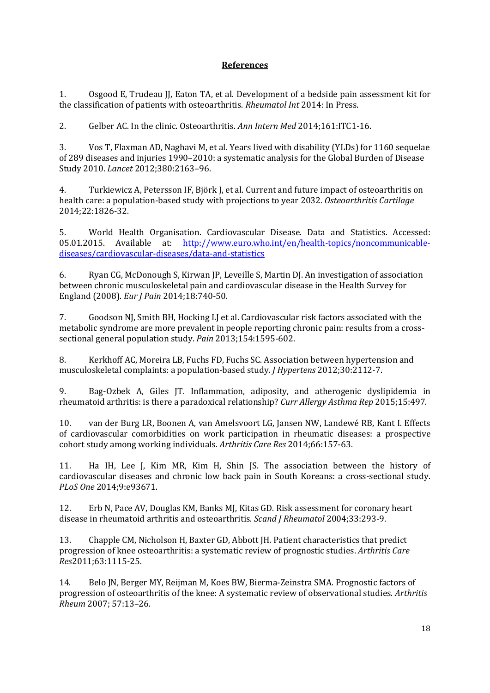# **References**

1. Osgood E, Trudeau JJ, Eaton TA, et al. Development of a bedside pain assessment kit for the classification of patients with osteoarthritis. *Rheumatol Int* 2014: In Press.

2. Gelber AC. In the clinic. Osteoarthritis. *Ann Intern Med* 2014;161:ITC1-16.

3. Vos T, Flaxman AD, Naghavi M, et al. Years lived with disability (YLDs) for 1160 sequelae of 289 diseases and injuries 1990–2010: a systematic analysis for the Global Burden of Disease Study 2010. *Lancet* 2012;380:2163–96.

4. Turkiewicz A, Petersson IF, Björk J, et al. Current and future impact of osteoarthritis on health care: a population-based study with projections to year 2032. *Osteoarthritis Cartilage* 2014;22:1826-32.

5. World Health Organisation. Cardiovascular Disease. Data and Statistics. Accessed:<br>05.01.2015. Available at: http://www.euro.who.int/en/health-topics/noncommunicable-05.01.2015. Available at: [http://www.euro.who.int/en/health-topics/noncommunicable](http://www.euro.who.int/en/health-topics/noncommunicable-diseases/cardiovascular-diseases/data-and-statistics)[diseases/cardiovascular-diseases/data-and-statistics](http://www.euro.who.int/en/health-topics/noncommunicable-diseases/cardiovascular-diseases/data-and-statistics)

6. Ryan CG, McDonough S, Kirwan JP, Leveille S, Martin DJ. An investigation of association between chronic musculoskeletal pain and cardiovascular disease in the Health Survey for England (2008). *Eur J Pain* 2014;18:740-50.

7. Goodson NJ, Smith BH, Hocking LJ et al. Cardiovascular risk factors associated with the metabolic syndrome are more prevalent in people reporting chronic pain: results from a crosssectional general population study. *Pain* 2013;154:1595-602.

8. Kerkhoff AC, Moreira LB, Fuchs FD, Fuchs SC. Association between hypertension and musculoskeletal complaints: a population-based study. *J Hypertens* 2012;30:2112-7.

9. Bag-Ozbek A, Giles JT. Inflammation, adiposity, and atherogenic dyslipidemia in rheumatoid arthritis: is there a paradoxical relationship? *Curr Allergy Asthma Rep* 2015;15:497.

10. van der Burg LR, Boonen A, van Amelsvoort LG, Jansen NW, Landewé RB, Kant I. Effects of cardiovascular comorbidities on work participation in rheumatic diseases: a prospective cohort study among working individuals. *Arthritis Care Res* 2014;66:157-63.

11. Ha IH, Lee J, Kim MR, Kim H, Shin JS. [The association between the history of](http://www.ncbi.nlm.nih.gov/pubmed/24751659)  [cardiovascular diseases and chronic low back pain in South Koreans: a cross-sectional study.](http://www.ncbi.nlm.nih.gov/pubmed/24751659) *PLoS One* 2014;9:e93671.

12. Erb N, Pace AV, Douglas KM, Banks MJ, Kitas GD. Risk assessment for coronary heart disease in rheumatoid arthritis and osteoarthritis. *Scand J Rheumatol* 2004;33:293-9.

13. Chapple CM, Nicholson H, Baxter GD, Abbott JH. Patient characteristics that predict progression of knee osteoarthritis: a systematic review of prognostic studies. *Arthritis Care Res*2011;63:1115-25.

14. Belo JN, Berger MY, Reijman M, Koes BW, Bierma-Zeinstra SMA. Prognostic factors of progression of osteoarthritis of the knee: A systematic review of observational studies. *Arthritis Rheum* 2007; 57:13–26.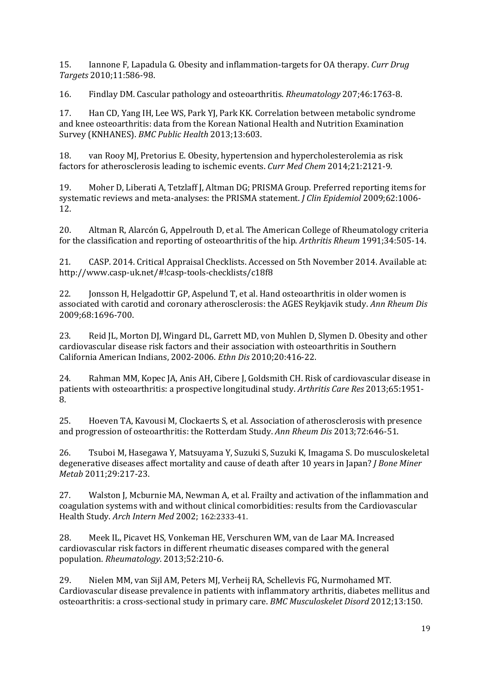15. Iannone F, Lapadula G. Obesity and inflammation-targets for OA therapy. *Curr Drug Targets* 2010;11:586-98.

16. Findlay DM. Cascular pathology and osteoarthritis. *Rheumatology* 207;46:1763-8.

17. Han CD, Yang IH, Lee WS, Park YJ, Park KK. Correlation between metabolic syndrome and knee osteoarthritis: data from the Korean National Health and Nutrition Examination Survey (KNHANES). *BMC Public Health* 2013;13:603.

18. van Rooy MJ, Pretorius E. Obesity, hypertension and hypercholesterolemia as risk factors for atherosclerosis leading to ischemic events. *Curr Med Chem* 2014;21:2121-9.

19. Moher D, Liberati A, Tetzlaff J, Altman DG; PRISMA Group. Preferred reporting items for systematic reviews and meta-analyses: the PRISMA statement. *J Clin Epidemiol* 2009;62:1006- 12.

20. Altman R, Alarcón G, Appelrouth D, et al. The American College of Rheumatology criteria for the classification and reporting of osteoarthritis of the hip. *Arthritis Rheum* 1991;34:505-14.

21. CASP. 2014. Critical Appraisal Checklists. Accessed on 5th November 2014. Available at: http://www.casp-uk.net/#!casp-tools-checklists/c18f8

22. Jonsson H, Helgadottir GP, Aspelund T, et al. Hand osteoarthritis in older women is associated with carotid and coronary atherosclerosis: the AGES Reykjavik study. *Ann Rheum Dis* 2009;68:1696-700.

23. Reid JL, Morton DJ, Wingard DL, Garrett MD, von Muhlen D, Slymen D. Obesity and other cardiovascular disease risk factors and their association with osteoarthritis in Southern California American Indians, 2002-2006. *Ethn Dis* 2010;20:416-22.

24. Rahman MM, Kopec JA, Anis AH, Cibere J, Goldsmith CH. Risk of cardiovascular disease in patients with osteoarthritis: a prospective longitudinal study. *Arthritis Care Res* 2013;65:1951- 8.

25. Hoeven TA, Kavousi M, Clockaerts S, et al. Association of atherosclerosis with presence and progression of osteoarthritis: the Rotterdam Study. *Ann Rheum Dis* 2013;72:646-51.

26. Tsuboi M, Hasegawa Y, Matsuyama Y, Suzuki S, Suzuki K, Imagama S. Do musculoskeletal degenerative diseases affect mortality and cause of death after 10 years in Japan? *J Bone Miner Metab* 2011;29:217-23.

27. Walston J, Mcburnie MA, Newman A, et al. Frailty and activation of the inflammation and coagulation systems with and without clinical comorbidities: results from the Cardiovascular Health Study. *Arch Intern Med* 2002; 162:2333-41.

28. Meek IL, Picavet HS, Vonkeman HE, Verschuren WM, van de Laar MA. Increased cardiovascular risk factors in different rheumatic diseases compared with the general population. *Rheumatology*. 2013;52:210-6.

29. Nielen MM, van Sijl AM, Peters MJ, Verheij RA, Schellevis FG, Nurmohamed MT. Cardiovascular disease prevalence in patients with inflammatory arthritis, diabetes mellitus and osteoarthritis: a cross-sectional study in primary care. *BMC Musculoskelet Disord* 2012;13:150.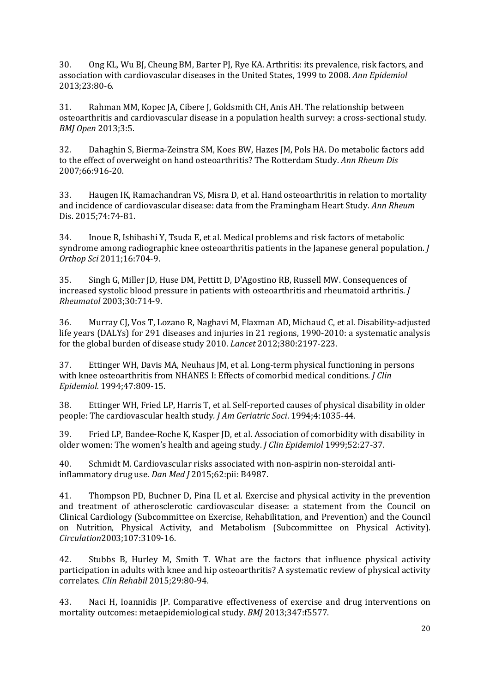30. Ong KL, Wu BJ, Cheung BM, Barter PJ, Rye KA. Arthritis: its prevalence, risk factors, and association with cardiovascular diseases in the United States, 1999 to 2008. *Ann Epidemiol* 2013;23:80-6.

31. Rahman MM, Kopec JA, Cibere J, Goldsmith CH, Anis AH. The relationship between osteoarthritis and cardiovascular disease in a population health survey: a cross-sectional study. *BMJ Open* 2013;3:5.

32. Dahaghin S, Bierma-Zeinstra SM, Koes BW, Hazes JM, Pols HA. Do metabolic factors add to the effect of overweight on hand osteoarthritis? The Rotterdam Study. *Ann Rheum Dis* 2007;66:916-20.

33. Haugen IK, Ramachandran VS, Misra D, et al. Hand osteoarthritis in relation to mortality and incidence of cardiovascular disease: data from the Framingham Heart Study. *Ann Rheum* Dis. 2015;74:74-81.

34. Inoue R, Ishibashi Y, Tsuda E, et al. Medical problems and risk factors of metabolic syndrome among radiographic knee osteoarthritis patients in the Japanese general population. *J Orthop Sci* 2011;16:704-9.

35. Singh G, Miller JD, Huse DM, Pettitt D, D'Agostino RB, Russell MW. Consequences of increased systolic blood pressure in patients with osteoarthritis and rheumatoid arthritis. *J Rheumatol* 2003;30:714-9.

36. [Murray CJ,](http://www.ncbi.nlm.nih.gov/pubmed/?term=Murray%20CJ%5BAuthor%5D&cauthor=true&cauthor_uid=23245608) [Vos T,](http://www.ncbi.nlm.nih.gov/pubmed/?term=Vos%20T%5BAuthor%5D&cauthor=true&cauthor_uid=23245608) [Lozano R,](http://www.ncbi.nlm.nih.gov/pubmed/?term=Lozano%20R%5BAuthor%5D&cauthor=true&cauthor_uid=23245608) [Naghavi M,](http://www.ncbi.nlm.nih.gov/pubmed/?term=Naghavi%20M%5BAuthor%5D&cauthor=true&cauthor_uid=23245608) [Flaxman AD,](http://www.ncbi.nlm.nih.gov/pubmed/?term=Flaxman%20AD%5BAuthor%5D&cauthor=true&cauthor_uid=23245608) [Michaud C,](http://www.ncbi.nlm.nih.gov/pubmed/?term=Michaud%20C%5BAuthor%5D&cauthor=true&cauthor_uid=23245608) et al. Disability-adjusted life years (DALYs) for 291 diseases and injuries in 21 regions, 1990-2010: a systematic analysis for the global burden of disease study 2010. *Lancet* 2012;380:2197-223.

37. Ettinger WH, Davis MA, Neuhaus JM, et al. Long-term physical functioning in persons with knee osteoarthritis from NHANES I: Effects of comorbid medical conditions. *J Clin Epidemiol.* 1994;47:809-15.

38. Ettinger WH, Fried LP, Harris T, et al. Self-reported causes of physical disability in older people: The cardiovascular health study*. J Am Geriatric Soci*. 1994;4:1035-44.

39. Fried LP, Bandee-Roche K, Kasper JD, et al. Association of comorbidity with disability in older women: The women's health and ageing study. *J Clin Epidemiol* 1999;52:27-37.

40. Schmidt M. Cardiovascular risks associated with non-aspirin non-steroidal antiinflammatory drug use. *Dan Med J* 2015;62:pii: B4987.

41. Thompson PD, Buchner D, Pina IL et al. Exercise and physical activity in the prevention and treatment of atherosclerotic cardiovascular disease: a statement from the Council on Clinical Cardiology (Subcommittee on Exercise, Rehabilitation, and Prevention) and the Council on Nutrition, Physical Activity, and Metabolism (Subcommittee on Physical Activity). *Circulation*2003;107:3109-16.

42. Stubbs B, Hurley M, Smith T. What are the factors that influence physical activity participation in adults with knee and hip osteoarthritis? A systematic review of physical activity correlates. *Clin Rehabil* 2015;29:80-94.

43. Naci H, Ioannidis JP. Comparative effectiveness of exercise and drug interventions on mortality outcomes: metaepidemiological study. *BMJ* 2013;347:f5577.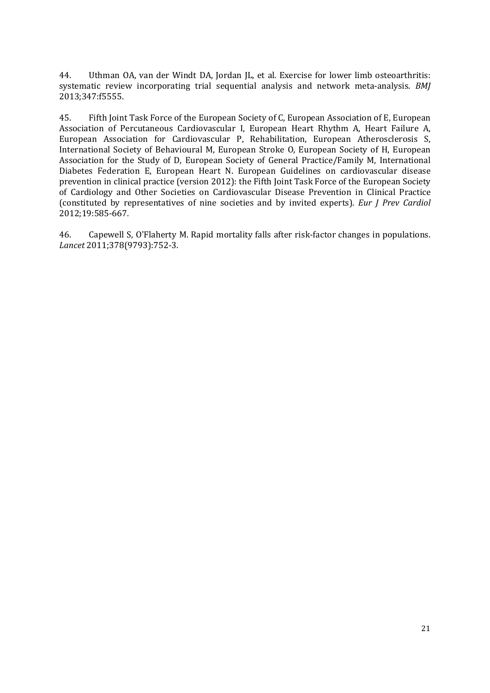44. Uthman OA, van der Windt DA, Jordan JL, et al. Exercise for lower limb osteoarthritis: systematic review incorporating trial sequential analysis and network meta-analysis. *BMJ* 2013;347:f5555.

45. Fifth Joint Task Force of the European Society of C, European Association of E, European Association of Percutaneous Cardiovascular I, European Heart Rhythm A, Heart Failure A, European Association for Cardiovascular P, Rehabilitation, European Atherosclerosis S, International Society of Behavioural M, European Stroke O, European Society of H, European Association for the Study of D, European Society of General Practice/Family M, International Diabetes Federation E, European Heart N. European Guidelines on cardiovascular disease prevention in clinical practice (version 2012): the Fifth Joint Task Force of the European Society of Cardiology and Other Societies on Cardiovascular Disease Prevention in Clinical Practice (constituted by representatives of nine societies and by invited experts). *Eur J Prev Cardiol* 2012;19:585-667.

46. Capewell S, O'Flaherty M. Rapid mortality falls after risk-factor changes in populations. *Lancet* 2011;378(9793):752-3.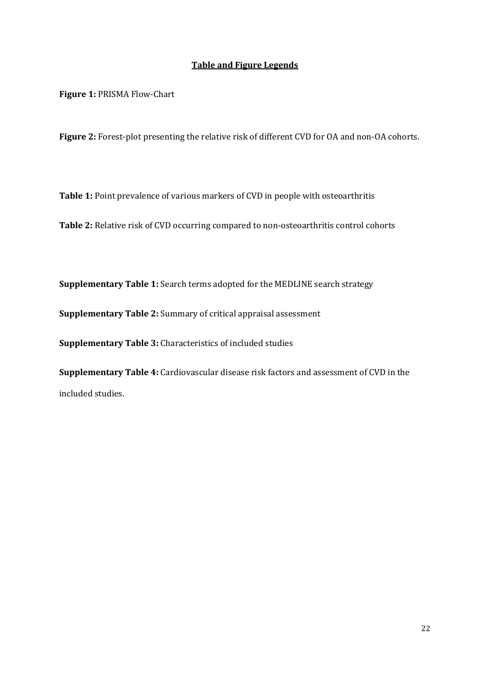# **Table and Figure Legends**

**Figure 1:** PRISMA Flow-Chart

**Figure 2:** Forest-plot presenting the relative risk of different CVD for OA and non-OA cohorts.

**Table 1:** Point prevalence of various markers of CVD in people with osteoarthritis

**Table 2:** Relative risk of CVD occurring compared to non-osteoarthritis control cohorts

**Supplementary Table 1:** Search terms adopted for the MEDLINE search strategy

**Supplementary Table 2:** Summary of critical appraisal assessment

**Supplementary Table 3:** Characteristics of included studies

**Supplementary Table 4:** Cardiovascular disease risk factors and assessment of CVD in the included studies.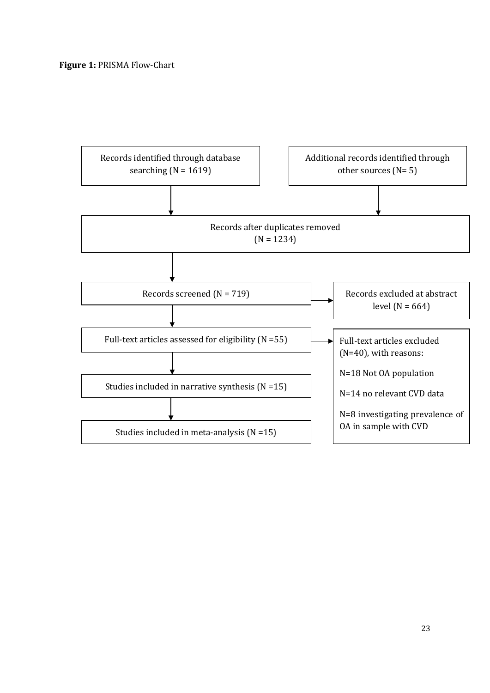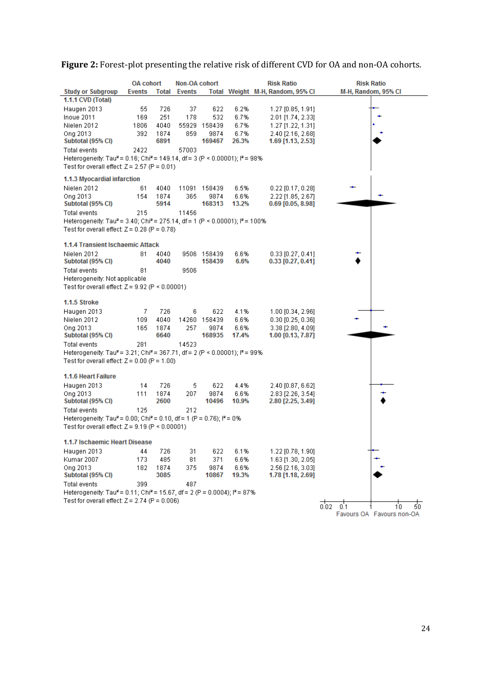| <b>Study or Subgroup</b><br><b>Events</b><br>Total<br><b>Events</b><br>Total Weight M-H, Random, 95% CI<br>M-H, Random, 95% CI<br>1.1.1 CVD (Total)<br>55<br>726<br>37<br>622<br>6.2%<br>Haugen 2013<br>$1.27$ [0.85, 1.91]<br>251<br>6.7%<br>Inoue 2011<br>169<br>178<br>532<br>2.01 [1.74, 2.33]<br>Nielen 2012<br>1806<br>4040<br>55929 158439<br>6.7%<br>1.27 [1.22, 1.31]<br>Ong 2013<br>392<br>1874<br>859<br>9874<br>6.7%<br>2.40 [2.16, 2.68]<br>Subtotal (95% CI)<br>6891<br>169467<br>26.3%<br>1.69 [1.13, 2.53]<br>2422<br>57003<br>Total events<br>Heterogeneity: Tau <sup>2</sup> = 0.16; Chi <sup>2</sup> = 149.14, df = 3 (P < 0.00001); $P = 98\%$<br>Test for overall effect: $Z = 2.57$ (P = 0.01)<br>1.1.3 Myocardial infarction<br>Nielen 2012<br>6.5%<br>61<br>4040<br>11091 158439<br>$0.22$ [0.17, 0.28]<br>Ong 2013<br>154<br>1874<br>365<br>6.6%<br>2.22 [1.85, 2.67]<br>9874<br>Subtotal (95% CI)<br>5914<br>168313<br>13.2%<br>$0.69$ [0.05, 8.98]<br>215<br>11456<br>Total events<br>Heterogeneity: Tau <sup>2</sup> = 3.40; Chi <sup>2</sup> = 275.14, df = 1 (P < 0.00001); $P = 100\%$<br>Test for overall effect: $Z = 0.28$ (P = 0.78)<br>1.1.4 Transient Ischaemic Attack<br>Nielen 2012<br>81<br>4040<br>9506 158439<br>6.6%<br>$0.33$ [0.27, 0.41]<br>4040<br>158439<br>6.6%<br>Subtotal (95% CI)<br>$0.33$ [0.27, 0.41]<br>81<br>9506<br>Total events<br>Heterogeneity: Not applicable<br>Test for overall effect: $Z = 9.92$ (P < 0.00001)<br>1.1.5 Stroke<br>7<br>726<br>6<br>622<br>4.1%<br>Haugen 2013<br>$1.00$ [0.34, 2.96]<br>6.6%<br>Nielen 2012<br>109<br>4040<br>14260 158439<br>$0.30$ [0.25, 0.36]<br>Ong 2013<br>1874<br>257<br>9874<br>6.6%<br>3.38 [2.80, 4.09]<br>165<br>6640<br>168935<br>1.00 [0.13, 7.87]<br>Subtotal (95% CI)<br>17.4%<br>281<br>Total events<br>14523<br>Heterogeneity: Tau <sup>2</sup> = 3.21; Chi <sup>2</sup> = 367.71, df = 2 (P < 0.00001); $P = 99\%$<br>Test for overall effect: $Z = 0.00$ (P = 1.00)<br>1.1.6 Heart Failure<br>Haugen 2013<br>14<br>726<br>5<br>622<br>4.4%<br>2.40 [0.87, 6.62]<br>1874<br>9874<br>6.6%<br>Ong 2013<br>111<br>207<br>2.83 [2.26, 3.54]<br>Subtotal (95% CI)<br>2600<br>10496<br>10.9%<br>2.80 [2.25, 3.49]<br><b>Total events</b><br>125<br>212<br>Heterogeneity: Tau <sup>2</sup> = 0.00; Chi <sup>2</sup> = 0.10, df = 1 (P = 0.76); $P = 0\%$<br>Test for overall effect: $Z = 9.19$ (P $\leq 0.00001$ )<br>1.1.7 Ischaemic Heart Disease<br>31<br>6.1%<br>Haugen 2013<br>44<br>726<br>622<br>1.22 [0.78, 1.90]<br>6.6%<br>Kumar 2007<br>173<br>485<br>81<br>371<br>1.63 [1.30, 2.05]<br>Ong 2013<br>9874<br>6.6%<br>182<br>1874<br>375<br>2.56 [2.16, 3.03]<br>Subtotal (95% CI)<br>3085<br>10867<br>19.3%<br>1.78 [1.18, 2.69]<br>399<br>487<br>Total events<br>Heterogeneity: Tau <sup>2</sup> = 0.11; Chi <sup>2</sup> = 15.67, df = 2 (P = 0.0004); l <sup>2</sup> = 87%<br>Test for overall effect: $Z = 2.74$ (P = 0.006)<br>$0.02 - 0.1$<br>50<br>10 <sup>10</sup><br>Favours OA Favours non-OA | <b>OA cohort</b> | Non-OA cohort |  | <b>Risk Ratio</b> | <b>Risk Ratio</b> |
|---------------------------------------------------------------------------------------------------------------------------------------------------------------------------------------------------------------------------------------------------------------------------------------------------------------------------------------------------------------------------------------------------------------------------------------------------------------------------------------------------------------------------------------------------------------------------------------------------------------------------------------------------------------------------------------------------------------------------------------------------------------------------------------------------------------------------------------------------------------------------------------------------------------------------------------------------------------------------------------------------------------------------------------------------------------------------------------------------------------------------------------------------------------------------------------------------------------------------------------------------------------------------------------------------------------------------------------------------------------------------------------------------------------------------------------------------------------------------------------------------------------------------------------------------------------------------------------------------------------------------------------------------------------------------------------------------------------------------------------------------------------------------------------------------------------------------------------------------------------------------------------------------------------------------------------------------------------------------------------------------------------------------------------------------------------------------------------------------------------------------------------------------------------------------------------------------------------------------------------------------------------------------------------------------------------------------------------------------------------------------------------------------------------------------------------------------------------------------------------------------------------------------------------------------------------------------------------------------------------------------------------------------------------------------------------------------------------------------------------------------------------------------------------------------------------------------------------------------------------------------------------------------------------------------------------------------------------------------------------------------------------------------------|------------------|---------------|--|-------------------|-------------------|
|                                                                                                                                                                                                                                                                                                                                                                                                                                                                                                                                                                                                                                                                                                                                                                                                                                                                                                                                                                                                                                                                                                                                                                                                                                                                                                                                                                                                                                                                                                                                                                                                                                                                                                                                                                                                                                                                                                                                                                                                                                                                                                                                                                                                                                                                                                                                                                                                                                                                                                                                                                                                                                                                                                                                                                                                                                                                                                                                                                                                                                 |                  |               |  |                   |                   |
|                                                                                                                                                                                                                                                                                                                                                                                                                                                                                                                                                                                                                                                                                                                                                                                                                                                                                                                                                                                                                                                                                                                                                                                                                                                                                                                                                                                                                                                                                                                                                                                                                                                                                                                                                                                                                                                                                                                                                                                                                                                                                                                                                                                                                                                                                                                                                                                                                                                                                                                                                                                                                                                                                                                                                                                                                                                                                                                                                                                                                                 |                  |               |  |                   |                   |
|                                                                                                                                                                                                                                                                                                                                                                                                                                                                                                                                                                                                                                                                                                                                                                                                                                                                                                                                                                                                                                                                                                                                                                                                                                                                                                                                                                                                                                                                                                                                                                                                                                                                                                                                                                                                                                                                                                                                                                                                                                                                                                                                                                                                                                                                                                                                                                                                                                                                                                                                                                                                                                                                                                                                                                                                                                                                                                                                                                                                                                 |                  |               |  |                   |                   |
|                                                                                                                                                                                                                                                                                                                                                                                                                                                                                                                                                                                                                                                                                                                                                                                                                                                                                                                                                                                                                                                                                                                                                                                                                                                                                                                                                                                                                                                                                                                                                                                                                                                                                                                                                                                                                                                                                                                                                                                                                                                                                                                                                                                                                                                                                                                                                                                                                                                                                                                                                                                                                                                                                                                                                                                                                                                                                                                                                                                                                                 |                  |               |  |                   |                   |
|                                                                                                                                                                                                                                                                                                                                                                                                                                                                                                                                                                                                                                                                                                                                                                                                                                                                                                                                                                                                                                                                                                                                                                                                                                                                                                                                                                                                                                                                                                                                                                                                                                                                                                                                                                                                                                                                                                                                                                                                                                                                                                                                                                                                                                                                                                                                                                                                                                                                                                                                                                                                                                                                                                                                                                                                                                                                                                                                                                                                                                 |                  |               |  |                   |                   |
|                                                                                                                                                                                                                                                                                                                                                                                                                                                                                                                                                                                                                                                                                                                                                                                                                                                                                                                                                                                                                                                                                                                                                                                                                                                                                                                                                                                                                                                                                                                                                                                                                                                                                                                                                                                                                                                                                                                                                                                                                                                                                                                                                                                                                                                                                                                                                                                                                                                                                                                                                                                                                                                                                                                                                                                                                                                                                                                                                                                                                                 |                  |               |  |                   |                   |
|                                                                                                                                                                                                                                                                                                                                                                                                                                                                                                                                                                                                                                                                                                                                                                                                                                                                                                                                                                                                                                                                                                                                                                                                                                                                                                                                                                                                                                                                                                                                                                                                                                                                                                                                                                                                                                                                                                                                                                                                                                                                                                                                                                                                                                                                                                                                                                                                                                                                                                                                                                                                                                                                                                                                                                                                                                                                                                                                                                                                                                 |                  |               |  |                   |                   |
|                                                                                                                                                                                                                                                                                                                                                                                                                                                                                                                                                                                                                                                                                                                                                                                                                                                                                                                                                                                                                                                                                                                                                                                                                                                                                                                                                                                                                                                                                                                                                                                                                                                                                                                                                                                                                                                                                                                                                                                                                                                                                                                                                                                                                                                                                                                                                                                                                                                                                                                                                                                                                                                                                                                                                                                                                                                                                                                                                                                                                                 |                  |               |  |                   |                   |
|                                                                                                                                                                                                                                                                                                                                                                                                                                                                                                                                                                                                                                                                                                                                                                                                                                                                                                                                                                                                                                                                                                                                                                                                                                                                                                                                                                                                                                                                                                                                                                                                                                                                                                                                                                                                                                                                                                                                                                                                                                                                                                                                                                                                                                                                                                                                                                                                                                                                                                                                                                                                                                                                                                                                                                                                                                                                                                                                                                                                                                 |                  |               |  |                   |                   |
|                                                                                                                                                                                                                                                                                                                                                                                                                                                                                                                                                                                                                                                                                                                                                                                                                                                                                                                                                                                                                                                                                                                                                                                                                                                                                                                                                                                                                                                                                                                                                                                                                                                                                                                                                                                                                                                                                                                                                                                                                                                                                                                                                                                                                                                                                                                                                                                                                                                                                                                                                                                                                                                                                                                                                                                                                                                                                                                                                                                                                                 |                  |               |  |                   |                   |
|                                                                                                                                                                                                                                                                                                                                                                                                                                                                                                                                                                                                                                                                                                                                                                                                                                                                                                                                                                                                                                                                                                                                                                                                                                                                                                                                                                                                                                                                                                                                                                                                                                                                                                                                                                                                                                                                                                                                                                                                                                                                                                                                                                                                                                                                                                                                                                                                                                                                                                                                                                                                                                                                                                                                                                                                                                                                                                                                                                                                                                 |                  |               |  |                   |                   |
|                                                                                                                                                                                                                                                                                                                                                                                                                                                                                                                                                                                                                                                                                                                                                                                                                                                                                                                                                                                                                                                                                                                                                                                                                                                                                                                                                                                                                                                                                                                                                                                                                                                                                                                                                                                                                                                                                                                                                                                                                                                                                                                                                                                                                                                                                                                                                                                                                                                                                                                                                                                                                                                                                                                                                                                                                                                                                                                                                                                                                                 |                  |               |  |                   |                   |
|                                                                                                                                                                                                                                                                                                                                                                                                                                                                                                                                                                                                                                                                                                                                                                                                                                                                                                                                                                                                                                                                                                                                                                                                                                                                                                                                                                                                                                                                                                                                                                                                                                                                                                                                                                                                                                                                                                                                                                                                                                                                                                                                                                                                                                                                                                                                                                                                                                                                                                                                                                                                                                                                                                                                                                                                                                                                                                                                                                                                                                 |                  |               |  |                   |                   |
|                                                                                                                                                                                                                                                                                                                                                                                                                                                                                                                                                                                                                                                                                                                                                                                                                                                                                                                                                                                                                                                                                                                                                                                                                                                                                                                                                                                                                                                                                                                                                                                                                                                                                                                                                                                                                                                                                                                                                                                                                                                                                                                                                                                                                                                                                                                                                                                                                                                                                                                                                                                                                                                                                                                                                                                                                                                                                                                                                                                                                                 |                  |               |  |                   |                   |
|                                                                                                                                                                                                                                                                                                                                                                                                                                                                                                                                                                                                                                                                                                                                                                                                                                                                                                                                                                                                                                                                                                                                                                                                                                                                                                                                                                                                                                                                                                                                                                                                                                                                                                                                                                                                                                                                                                                                                                                                                                                                                                                                                                                                                                                                                                                                                                                                                                                                                                                                                                                                                                                                                                                                                                                                                                                                                                                                                                                                                                 |                  |               |  |                   |                   |
|                                                                                                                                                                                                                                                                                                                                                                                                                                                                                                                                                                                                                                                                                                                                                                                                                                                                                                                                                                                                                                                                                                                                                                                                                                                                                                                                                                                                                                                                                                                                                                                                                                                                                                                                                                                                                                                                                                                                                                                                                                                                                                                                                                                                                                                                                                                                                                                                                                                                                                                                                                                                                                                                                                                                                                                                                                                                                                                                                                                                                                 |                  |               |  |                   |                   |
|                                                                                                                                                                                                                                                                                                                                                                                                                                                                                                                                                                                                                                                                                                                                                                                                                                                                                                                                                                                                                                                                                                                                                                                                                                                                                                                                                                                                                                                                                                                                                                                                                                                                                                                                                                                                                                                                                                                                                                                                                                                                                                                                                                                                                                                                                                                                                                                                                                                                                                                                                                                                                                                                                                                                                                                                                                                                                                                                                                                                                                 |                  |               |  |                   |                   |
|                                                                                                                                                                                                                                                                                                                                                                                                                                                                                                                                                                                                                                                                                                                                                                                                                                                                                                                                                                                                                                                                                                                                                                                                                                                                                                                                                                                                                                                                                                                                                                                                                                                                                                                                                                                                                                                                                                                                                                                                                                                                                                                                                                                                                                                                                                                                                                                                                                                                                                                                                                                                                                                                                                                                                                                                                                                                                                                                                                                                                                 |                  |               |  |                   |                   |
|                                                                                                                                                                                                                                                                                                                                                                                                                                                                                                                                                                                                                                                                                                                                                                                                                                                                                                                                                                                                                                                                                                                                                                                                                                                                                                                                                                                                                                                                                                                                                                                                                                                                                                                                                                                                                                                                                                                                                                                                                                                                                                                                                                                                                                                                                                                                                                                                                                                                                                                                                                                                                                                                                                                                                                                                                                                                                                                                                                                                                                 |                  |               |  |                   |                   |
|                                                                                                                                                                                                                                                                                                                                                                                                                                                                                                                                                                                                                                                                                                                                                                                                                                                                                                                                                                                                                                                                                                                                                                                                                                                                                                                                                                                                                                                                                                                                                                                                                                                                                                                                                                                                                                                                                                                                                                                                                                                                                                                                                                                                                                                                                                                                                                                                                                                                                                                                                                                                                                                                                                                                                                                                                                                                                                                                                                                                                                 |                  |               |  |                   |                   |
|                                                                                                                                                                                                                                                                                                                                                                                                                                                                                                                                                                                                                                                                                                                                                                                                                                                                                                                                                                                                                                                                                                                                                                                                                                                                                                                                                                                                                                                                                                                                                                                                                                                                                                                                                                                                                                                                                                                                                                                                                                                                                                                                                                                                                                                                                                                                                                                                                                                                                                                                                                                                                                                                                                                                                                                                                                                                                                                                                                                                                                 |                  |               |  |                   |                   |
|                                                                                                                                                                                                                                                                                                                                                                                                                                                                                                                                                                                                                                                                                                                                                                                                                                                                                                                                                                                                                                                                                                                                                                                                                                                                                                                                                                                                                                                                                                                                                                                                                                                                                                                                                                                                                                                                                                                                                                                                                                                                                                                                                                                                                                                                                                                                                                                                                                                                                                                                                                                                                                                                                                                                                                                                                                                                                                                                                                                                                                 |                  |               |  |                   |                   |
|                                                                                                                                                                                                                                                                                                                                                                                                                                                                                                                                                                                                                                                                                                                                                                                                                                                                                                                                                                                                                                                                                                                                                                                                                                                                                                                                                                                                                                                                                                                                                                                                                                                                                                                                                                                                                                                                                                                                                                                                                                                                                                                                                                                                                                                                                                                                                                                                                                                                                                                                                                                                                                                                                                                                                                                                                                                                                                                                                                                                                                 |                  |               |  |                   |                   |
|                                                                                                                                                                                                                                                                                                                                                                                                                                                                                                                                                                                                                                                                                                                                                                                                                                                                                                                                                                                                                                                                                                                                                                                                                                                                                                                                                                                                                                                                                                                                                                                                                                                                                                                                                                                                                                                                                                                                                                                                                                                                                                                                                                                                                                                                                                                                                                                                                                                                                                                                                                                                                                                                                                                                                                                                                                                                                                                                                                                                                                 |                  |               |  |                   |                   |
|                                                                                                                                                                                                                                                                                                                                                                                                                                                                                                                                                                                                                                                                                                                                                                                                                                                                                                                                                                                                                                                                                                                                                                                                                                                                                                                                                                                                                                                                                                                                                                                                                                                                                                                                                                                                                                                                                                                                                                                                                                                                                                                                                                                                                                                                                                                                                                                                                                                                                                                                                                                                                                                                                                                                                                                                                                                                                                                                                                                                                                 |                  |               |  |                   |                   |
|                                                                                                                                                                                                                                                                                                                                                                                                                                                                                                                                                                                                                                                                                                                                                                                                                                                                                                                                                                                                                                                                                                                                                                                                                                                                                                                                                                                                                                                                                                                                                                                                                                                                                                                                                                                                                                                                                                                                                                                                                                                                                                                                                                                                                                                                                                                                                                                                                                                                                                                                                                                                                                                                                                                                                                                                                                                                                                                                                                                                                                 |                  |               |  |                   |                   |
|                                                                                                                                                                                                                                                                                                                                                                                                                                                                                                                                                                                                                                                                                                                                                                                                                                                                                                                                                                                                                                                                                                                                                                                                                                                                                                                                                                                                                                                                                                                                                                                                                                                                                                                                                                                                                                                                                                                                                                                                                                                                                                                                                                                                                                                                                                                                                                                                                                                                                                                                                                                                                                                                                                                                                                                                                                                                                                                                                                                                                                 |                  |               |  |                   |                   |
|                                                                                                                                                                                                                                                                                                                                                                                                                                                                                                                                                                                                                                                                                                                                                                                                                                                                                                                                                                                                                                                                                                                                                                                                                                                                                                                                                                                                                                                                                                                                                                                                                                                                                                                                                                                                                                                                                                                                                                                                                                                                                                                                                                                                                                                                                                                                                                                                                                                                                                                                                                                                                                                                                                                                                                                                                                                                                                                                                                                                                                 |                  |               |  |                   |                   |
|                                                                                                                                                                                                                                                                                                                                                                                                                                                                                                                                                                                                                                                                                                                                                                                                                                                                                                                                                                                                                                                                                                                                                                                                                                                                                                                                                                                                                                                                                                                                                                                                                                                                                                                                                                                                                                                                                                                                                                                                                                                                                                                                                                                                                                                                                                                                                                                                                                                                                                                                                                                                                                                                                                                                                                                                                                                                                                                                                                                                                                 |                  |               |  |                   |                   |
|                                                                                                                                                                                                                                                                                                                                                                                                                                                                                                                                                                                                                                                                                                                                                                                                                                                                                                                                                                                                                                                                                                                                                                                                                                                                                                                                                                                                                                                                                                                                                                                                                                                                                                                                                                                                                                                                                                                                                                                                                                                                                                                                                                                                                                                                                                                                                                                                                                                                                                                                                                                                                                                                                                                                                                                                                                                                                                                                                                                                                                 |                  |               |  |                   |                   |
|                                                                                                                                                                                                                                                                                                                                                                                                                                                                                                                                                                                                                                                                                                                                                                                                                                                                                                                                                                                                                                                                                                                                                                                                                                                                                                                                                                                                                                                                                                                                                                                                                                                                                                                                                                                                                                                                                                                                                                                                                                                                                                                                                                                                                                                                                                                                                                                                                                                                                                                                                                                                                                                                                                                                                                                                                                                                                                                                                                                                                                 |                  |               |  |                   |                   |
|                                                                                                                                                                                                                                                                                                                                                                                                                                                                                                                                                                                                                                                                                                                                                                                                                                                                                                                                                                                                                                                                                                                                                                                                                                                                                                                                                                                                                                                                                                                                                                                                                                                                                                                                                                                                                                                                                                                                                                                                                                                                                                                                                                                                                                                                                                                                                                                                                                                                                                                                                                                                                                                                                                                                                                                                                                                                                                                                                                                                                                 |                  |               |  |                   |                   |
|                                                                                                                                                                                                                                                                                                                                                                                                                                                                                                                                                                                                                                                                                                                                                                                                                                                                                                                                                                                                                                                                                                                                                                                                                                                                                                                                                                                                                                                                                                                                                                                                                                                                                                                                                                                                                                                                                                                                                                                                                                                                                                                                                                                                                                                                                                                                                                                                                                                                                                                                                                                                                                                                                                                                                                                                                                                                                                                                                                                                                                 |                  |               |  |                   |                   |
|                                                                                                                                                                                                                                                                                                                                                                                                                                                                                                                                                                                                                                                                                                                                                                                                                                                                                                                                                                                                                                                                                                                                                                                                                                                                                                                                                                                                                                                                                                                                                                                                                                                                                                                                                                                                                                                                                                                                                                                                                                                                                                                                                                                                                                                                                                                                                                                                                                                                                                                                                                                                                                                                                                                                                                                                                                                                                                                                                                                                                                 |                  |               |  |                   |                   |
|                                                                                                                                                                                                                                                                                                                                                                                                                                                                                                                                                                                                                                                                                                                                                                                                                                                                                                                                                                                                                                                                                                                                                                                                                                                                                                                                                                                                                                                                                                                                                                                                                                                                                                                                                                                                                                                                                                                                                                                                                                                                                                                                                                                                                                                                                                                                                                                                                                                                                                                                                                                                                                                                                                                                                                                                                                                                                                                                                                                                                                 |                  |               |  |                   |                   |
|                                                                                                                                                                                                                                                                                                                                                                                                                                                                                                                                                                                                                                                                                                                                                                                                                                                                                                                                                                                                                                                                                                                                                                                                                                                                                                                                                                                                                                                                                                                                                                                                                                                                                                                                                                                                                                                                                                                                                                                                                                                                                                                                                                                                                                                                                                                                                                                                                                                                                                                                                                                                                                                                                                                                                                                                                                                                                                                                                                                                                                 |                  |               |  |                   |                   |
|                                                                                                                                                                                                                                                                                                                                                                                                                                                                                                                                                                                                                                                                                                                                                                                                                                                                                                                                                                                                                                                                                                                                                                                                                                                                                                                                                                                                                                                                                                                                                                                                                                                                                                                                                                                                                                                                                                                                                                                                                                                                                                                                                                                                                                                                                                                                                                                                                                                                                                                                                                                                                                                                                                                                                                                                                                                                                                                                                                                                                                 |                  |               |  |                   |                   |
|                                                                                                                                                                                                                                                                                                                                                                                                                                                                                                                                                                                                                                                                                                                                                                                                                                                                                                                                                                                                                                                                                                                                                                                                                                                                                                                                                                                                                                                                                                                                                                                                                                                                                                                                                                                                                                                                                                                                                                                                                                                                                                                                                                                                                                                                                                                                                                                                                                                                                                                                                                                                                                                                                                                                                                                                                                                                                                                                                                                                                                 |                  |               |  |                   |                   |
|                                                                                                                                                                                                                                                                                                                                                                                                                                                                                                                                                                                                                                                                                                                                                                                                                                                                                                                                                                                                                                                                                                                                                                                                                                                                                                                                                                                                                                                                                                                                                                                                                                                                                                                                                                                                                                                                                                                                                                                                                                                                                                                                                                                                                                                                                                                                                                                                                                                                                                                                                                                                                                                                                                                                                                                                                                                                                                                                                                                                                                 |                  |               |  |                   |                   |
|                                                                                                                                                                                                                                                                                                                                                                                                                                                                                                                                                                                                                                                                                                                                                                                                                                                                                                                                                                                                                                                                                                                                                                                                                                                                                                                                                                                                                                                                                                                                                                                                                                                                                                                                                                                                                                                                                                                                                                                                                                                                                                                                                                                                                                                                                                                                                                                                                                                                                                                                                                                                                                                                                                                                                                                                                                                                                                                                                                                                                                 |                  |               |  |                   |                   |
|                                                                                                                                                                                                                                                                                                                                                                                                                                                                                                                                                                                                                                                                                                                                                                                                                                                                                                                                                                                                                                                                                                                                                                                                                                                                                                                                                                                                                                                                                                                                                                                                                                                                                                                                                                                                                                                                                                                                                                                                                                                                                                                                                                                                                                                                                                                                                                                                                                                                                                                                                                                                                                                                                                                                                                                                                                                                                                                                                                                                                                 |                  |               |  |                   |                   |
|                                                                                                                                                                                                                                                                                                                                                                                                                                                                                                                                                                                                                                                                                                                                                                                                                                                                                                                                                                                                                                                                                                                                                                                                                                                                                                                                                                                                                                                                                                                                                                                                                                                                                                                                                                                                                                                                                                                                                                                                                                                                                                                                                                                                                                                                                                                                                                                                                                                                                                                                                                                                                                                                                                                                                                                                                                                                                                                                                                                                                                 |                  |               |  |                   |                   |
|                                                                                                                                                                                                                                                                                                                                                                                                                                                                                                                                                                                                                                                                                                                                                                                                                                                                                                                                                                                                                                                                                                                                                                                                                                                                                                                                                                                                                                                                                                                                                                                                                                                                                                                                                                                                                                                                                                                                                                                                                                                                                                                                                                                                                                                                                                                                                                                                                                                                                                                                                                                                                                                                                                                                                                                                                                                                                                                                                                                                                                 |                  |               |  |                   |                   |
|                                                                                                                                                                                                                                                                                                                                                                                                                                                                                                                                                                                                                                                                                                                                                                                                                                                                                                                                                                                                                                                                                                                                                                                                                                                                                                                                                                                                                                                                                                                                                                                                                                                                                                                                                                                                                                                                                                                                                                                                                                                                                                                                                                                                                                                                                                                                                                                                                                                                                                                                                                                                                                                                                                                                                                                                                                                                                                                                                                                                                                 |                  |               |  |                   |                   |
|                                                                                                                                                                                                                                                                                                                                                                                                                                                                                                                                                                                                                                                                                                                                                                                                                                                                                                                                                                                                                                                                                                                                                                                                                                                                                                                                                                                                                                                                                                                                                                                                                                                                                                                                                                                                                                                                                                                                                                                                                                                                                                                                                                                                                                                                                                                                                                                                                                                                                                                                                                                                                                                                                                                                                                                                                                                                                                                                                                                                                                 |                  |               |  |                   |                   |
|                                                                                                                                                                                                                                                                                                                                                                                                                                                                                                                                                                                                                                                                                                                                                                                                                                                                                                                                                                                                                                                                                                                                                                                                                                                                                                                                                                                                                                                                                                                                                                                                                                                                                                                                                                                                                                                                                                                                                                                                                                                                                                                                                                                                                                                                                                                                                                                                                                                                                                                                                                                                                                                                                                                                                                                                                                                                                                                                                                                                                                 |                  |               |  |                   |                   |
|                                                                                                                                                                                                                                                                                                                                                                                                                                                                                                                                                                                                                                                                                                                                                                                                                                                                                                                                                                                                                                                                                                                                                                                                                                                                                                                                                                                                                                                                                                                                                                                                                                                                                                                                                                                                                                                                                                                                                                                                                                                                                                                                                                                                                                                                                                                                                                                                                                                                                                                                                                                                                                                                                                                                                                                                                                                                                                                                                                                                                                 |                  |               |  |                   |                   |

**Figure 2:** Forest-plot presenting the relative risk of different CVD for OA and non-OA cohorts.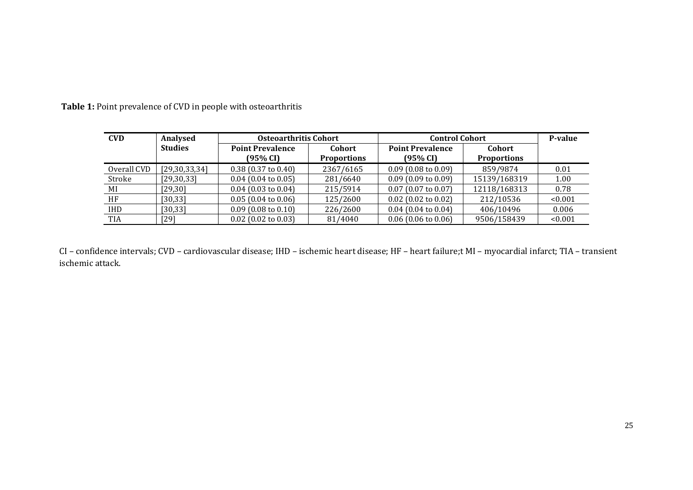| <b>CVD</b>  | <b>Analysed</b> | <b>Osteoarthritis Cohort</b>        |                              | <b>Control Cohort</b>               |                                     | P-value |
|-------------|-----------------|-------------------------------------|------------------------------|-------------------------------------|-------------------------------------|---------|
|             | <b>Studies</b>  | <b>Point Prevalence</b><br>(95% CI) | Cohort<br><b>Proportions</b> | <b>Point Prevalence</b><br>(95% CI) | <b>Cohort</b><br><b>Proportions</b> |         |
| Overall CVD | [29,30,33,34]   | $0.38$ (0.37 to 0.40)               | 2367/6165                    | $0.09$ (0.08 to 0.09)               | 859/9874                            | 0.01    |
| Stroke      | [29, 30, 33]    | $0.04$ (0.04 to 0.05)               | 281/6640                     | $0.09$ (0.09 to 0.09)               | 15139/168319                        | 1.00    |
| MI          | $[29,30]$       | $0.04$ (0.03 to 0.04)               | 215/5914                     | $0.07$ (0.07 to 0.07)               | 12118/168313                        | 0.78    |
| HF          | [30, 33]        | $0.05(0.04 \text{ to } 0.06)$       | 125/2600                     | $0.02$ (0.02 to 0.02)               | 212/10536                           | < 0.001 |
| <b>IHD</b>  | [30, 33]        | $0.09(0.08 \text{ to } 0.10)$       | 226/2600                     | $0.04$ (0.04 to 0.04)               | 406/10496                           | 0.006   |
| <b>TIA</b>  | [29]            | $0.02$ (0.02 to 0.03)               | 81/4040                      | $0.06$ (0.06 to 0.06)               | 9506/158439                         | < 0.001 |

**Table 1:** Point prevalence of CVD in people with osteoarthritis

CI – confidence intervals; CVD – cardiovascular disease; IHD – ischemic heart disease; HF – heart failure;t MI – myocardial infarct; TIA – transient ischemic attack.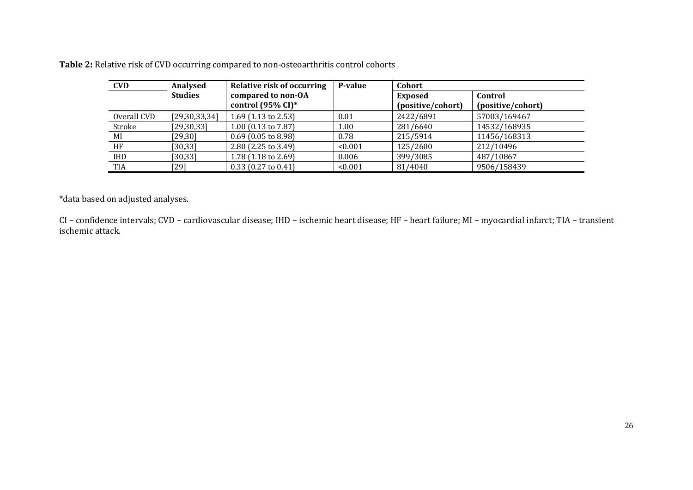**Table 2:** Relative risk of CVD occurring compared to non-osteoarthritis control cohorts

| <b>CVD</b>  | Analysed       | <b>Relative risk of occurring</b>                   | P-value | Cohort                       |                              |
|-------------|----------------|-----------------------------------------------------|---------|------------------------------|------------------------------|
|             | <b>Studies</b> | compared to non-OA<br>control $(95\% \text{ CI})^*$ |         | Exposed<br>(positive/cohort) | Control<br>(positive/cohort) |
| Overall CVD | [29,30,33,34]  | 1.69 $(1.13 \text{ to } 2.53)$                      | 0.01    | 2422/6891                    | 57003/169467                 |
| Stroke      | [29, 30, 33]   | 1.00 (0.13 to 7.87)                                 | 1.00    | 281/6640                     | 14532/168935                 |
| MI          | [29, 30]       | $0.69$ (0.05 to 8.98)                               | 0.78    | 215/5914                     | 11456/168313                 |
| HF          | [30, 33]       | 2.80 (2.25 to 3.49)                                 | < 0.001 | 125/2600                     | 212/10496                    |
| IHD         | [30, 33]       | 1.78 $(1.18 \text{ to } 2.69)$                      | 0.006   | 399/3085                     | 487/10867                    |
| TIA         | [29]           | $0.33$ (0.27 to 0.41)                               | < 0.001 | 81/4040                      | 9506/158439                  |

\*data based on adjusted analyses.

CI – confidence intervals; CVD – cardiovascular disease; IHD – ischemic heart disease; HF – heart failure; MI – myocardial infarct; TIA – transient ischemic attack.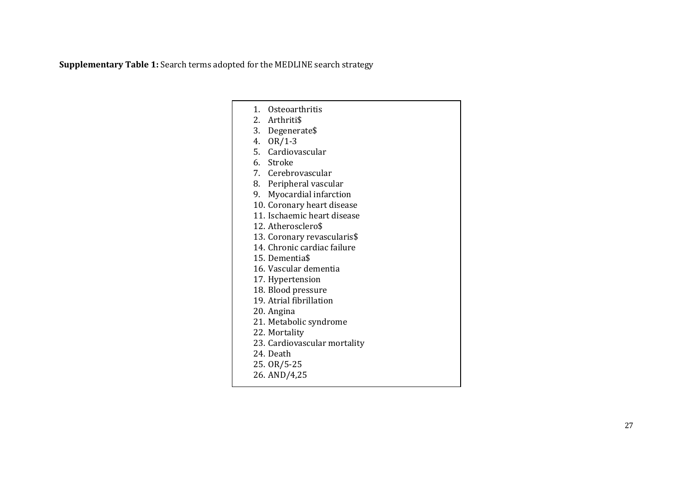**Supplementary Table 1:** Search terms adopted for the MEDLINE search strategy

|    | 1. Osteoarthritis            |
|----|------------------------------|
|    | 2. Arthriti\$                |
|    | 3. Degenerate\$              |
|    | 4. OR/1-3                    |
|    | 5. Cardiovascular            |
|    | 6. Stroke                    |
|    | 7. Cerebrovascular           |
|    | 8. Peripheral vascular       |
| 9. | Myocardial infarction        |
|    | 10. Coronary heart disease   |
|    | 11. Ischaemic heart disease  |
|    | 12. Atherosclero\$           |
|    | 13. Coronary revascularis\$  |
|    | 14. Chronic cardiac failure  |
|    | 15. Dementia\$               |
|    | 16. Vascular dementia        |
|    | 17. Hypertension             |
|    | 18. Blood pressure           |
|    | 19. Atrial fibrillation      |
|    | 20. Angina                   |
|    | 21. Metabolic syndrome       |
|    | 22. Mortality                |
|    | 23. Cardiovascular mortality |
|    | 24. Death                    |
|    | 25. OR/5-25                  |
|    | 26. AND/4,25                 |
|    |                              |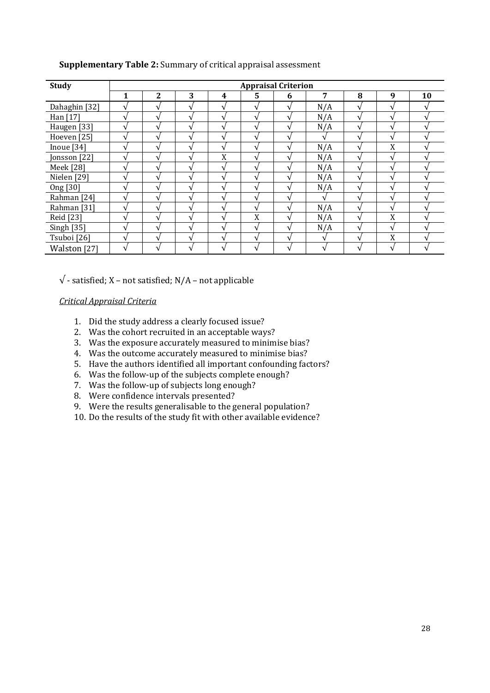| <b>Study</b>  |                          |   |   |                |                | <b>Appraisal Criterion</b> |              |                |                |    |
|---------------|--------------------------|---|---|----------------|----------------|----------------------------|--------------|----------------|----------------|----|
|               |                          | 2 | 3 | 4              | 5              | 6                          | 7            | 8              | 9              | 10 |
| Dahaghin [32] |                          |   |   |                |                | V                          | N/A          |                |                |    |
| Han [17]      |                          |   |   |                |                |                            | N/A          |                |                |    |
| Haugen [33]   |                          |   |   |                | ٦              | ٦                          | N/A          | $\mathbf \tau$ |                |    |
| Hoeven [25]   |                          |   |   |                |                | ٩                          | $\mathbf{v}$ |                |                |    |
| Inoue [34]    |                          |   |   | $\mathbf{A}$   | $\mathbf{A}$   | ٦                          | N/A          | $\mathbf{A}$   | X              |    |
| Jonsson [22]  |                          |   |   | X              | ٦.             |                            | N/A          |                |                |    |
| Meek [28]     | $\overline{\phantom{a}}$ |   |   | $\mathbf \tau$ | $\mathbf \tau$ | ٦                          | N/A          | $\mathbf \tau$ |                |    |
| Nielen [29]   |                          |   |   |                |                |                            | N/A          |                |                |    |
| Ong [30]      |                          |   |   |                |                | ٦                          | N/A          |                |                |    |
| Rahman [24]   |                          |   |   |                |                |                            | $\sqrt{ }$   |                |                |    |
| Rahman [31]   |                          |   |   |                | $\mathbf{A}$   | ٦                          | N/A          | $\mathbf{A}$   | $\mathbf \tau$ |    |
| Reid [23]     |                          |   |   |                | X              | ٦                          | N/A          |                | X              |    |
| Singh [35]    |                          |   |   |                | ٦.             | ٦                          | N/A          |                |                |    |
| Tsuboi [26]   |                          |   |   |                |                |                            | $\mathbf{v}$ |                | v<br>л         |    |
| Walston [27]  |                          |   |   |                | ٦              | ٦                          | V            | $\mathbf{A}$   |                |    |

## **Supplementary Table 2:** Summary of critical appraisal assessment

 $\sqrt{\ }$  - satisfied; X – not satisfied; N/A – not applicable

# *Critical Appraisal Criteria*

- 1. Did the study address a clearly focused issue?
- 2. Was the cohort recruited in an acceptable ways?
- 3. Was the exposure accurately measured to minimise bias?
- 4. Was the outcome accurately measured to minimise bias?
- 5. Have the authors identified all important confounding factors?
- 6. Was the follow-up of the subjects complete enough?
- 7. Was the follow-up of subjects long enough?
- 8. Were confidence intervals presented?
- 9. Were the results generalisable to the general population?
- 10. Do the results of the study fit with other available evidence?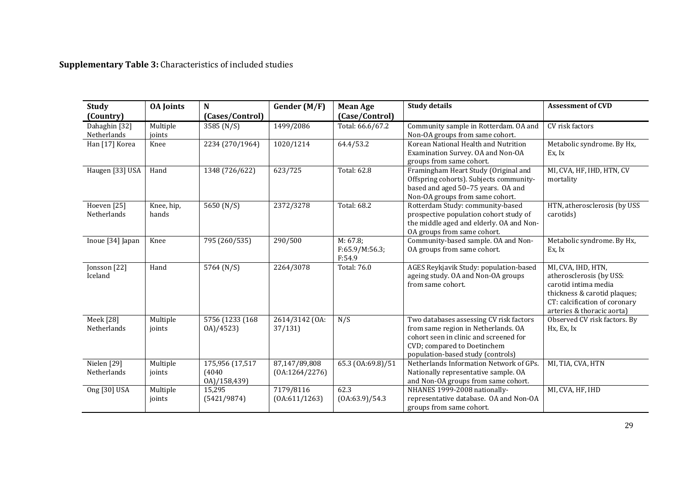**Supplementary Table 3:** Characteristics of included studies

| <b>Study</b><br>(Country)    | <b>OA</b> Joints    | N<br>(Cases/Control)                     | Gender (M/F)                    | <b>Mean Age</b><br>(Case/Control)    | <b>Study details</b>                                                                                                                                                                         | <b>Assessment of CVD</b>                                                                                                                                              |
|------------------------------|---------------------|------------------------------------------|---------------------------------|--------------------------------------|----------------------------------------------------------------------------------------------------------------------------------------------------------------------------------------------|-----------------------------------------------------------------------------------------------------------------------------------------------------------------------|
| Dahaghin [32]<br>Netherlands | Multiple<br>joints  | 3585 (N/S)                               | 1499/2086                       | Total: 66.6/67.2                     | Community sample in Rotterdam. OA and<br>Non-OA groups from same cohort.                                                                                                                     | CV risk factors                                                                                                                                                       |
| Han [17] Korea               | Knee                | 2234 (270/1964)                          | 1020/1214                       | 64.4/53.2                            | Korean National Health and Nutrition<br>Examination Survey. OA and Non-OA<br>groups from same cohort.                                                                                        | Metabolic syndrome. By Hx,<br>Ex, Ix                                                                                                                                  |
| Haugen [33] USA              | Hand                | 1348 (726/622)                           | 623/725                         | Total: 62.8                          | Framingham Heart Study (Original and<br>Offspring cohorts). Subjects community-<br>based and aged 50-75 years. OA and<br>Non-OA groups from same cohort.                                     | MI, CVA, HF, IHD, HTN, CV<br>mortality                                                                                                                                |
| Hoeven [25]<br>Netherlands   | Knee, hip,<br>hands | 5650 (N/S)                               | 2372/3278                       | Total: 68.2                          | Rotterdam Study: community-based<br>prospective population cohort study of<br>the middle aged and elderly. OA and Non-<br>OA groups from same cohort.                                        | HTN, atherosclerosis (by USS<br>carotids)                                                                                                                             |
| Inoue [34] Japan             | Knee                | 795 (260/535)                            | 290/500                         | M: 67.8;<br>F:65.9/M:56.3;<br>F:54.9 | Community-based sample. OA and Non-<br>OA groups from same cohort.                                                                                                                           | Metabolic syndrome. By Hx,<br>Ex, Ix                                                                                                                                  |
| Jonsson [22]<br>Iceland      | Hand                | 5764 (N/S)                               | 2264/3078                       | Total: 76.0                          | AGES Reykjavik Study: population-based<br>ageing study. OA and Non-OA groups<br>from same cohort.                                                                                            | MI, CVA, IHD, HTN,<br>atherosclerosis (by USS:<br>carotid intima media<br>thickness & carotid plaques;<br>CT: calcification of coronary<br>arteries & thoracic aorta) |
| Meek [28]<br>Netherlands     | Multiple<br>joints  | 5756 (1233 (168)<br>0A)/4523)            | 2614/3142 (OA:<br>37/131        | N/S                                  | Two databases assessing CV risk factors<br>from same region in Netherlands. OA<br>cohort seen in clinic and screened for<br>CVD; compared to Doetinchem<br>population-based study (controls) | Observed CV risk factors. By<br>Hx, Ex, Ix                                                                                                                            |
| Nielen [29]<br>Netherlands   | Multiple<br>joints  | 175,956 (17,517<br>(4040<br>0A)/158,439) | 87,147/89,808<br>(0A:1264/2276) | 65.3 (0A:69.8)/51                    | Netherlands Information Network of GPs.<br>Nationally representative sample. OA<br>and Non-OA groups from same cohort.                                                                       | MI, TIA, CVA, HTN                                                                                                                                                     |
| Ong [30] USA                 | Multiple<br>joints  | 15,295<br>(5421/9874)                    | 7179/8116<br>(0A:611/1263)      | 62.3<br>(0A:63.9)/54.3               | NHANES 1999-2008 nationally-<br>representative database. OA and Non-OA<br>groups from same cohort.                                                                                           | MI, CVA, HF, IHD                                                                                                                                                      |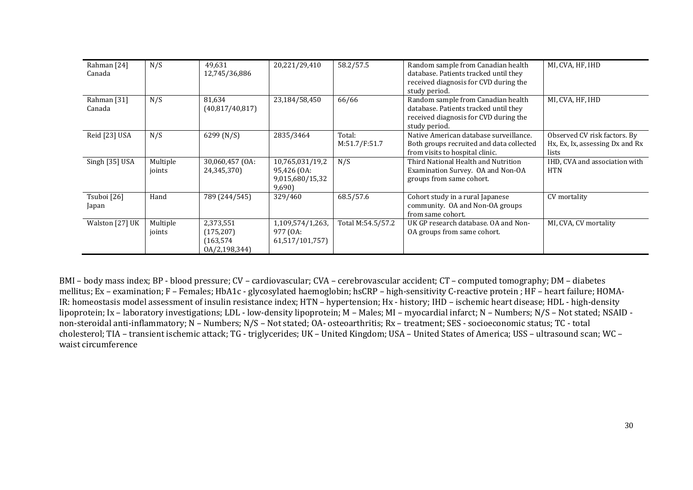| Rahman [24]<br>Canada | N/S                | 49.631<br>12,745/36,886                                | 20,221/29,410                                               | 58.2/57.5               | Random sample from Canadian health<br>database. Patients tracked until they<br>received diagnosis for CVD during the<br>study period. | MI, CVA, HF, IHD                                                         |
|-----------------------|--------------------|--------------------------------------------------------|-------------------------------------------------------------|-------------------------|---------------------------------------------------------------------------------------------------------------------------------------|--------------------------------------------------------------------------|
| Rahman [31]<br>Canada | N/S                | 81,634<br>(40,817/40,817)                              | 23,184/58,450                                               | 66/66                   | Random sample from Canadian health<br>database. Patients tracked until they<br>received diagnosis for CVD during the<br>study period. | MI, CVA, HF, IHD                                                         |
| Reid [23] USA         | N/S                | 6299 (N/S)                                             | 2835/3464                                                   | Total:<br>M:51.7/F:51.7 | Native American database surveillance.<br>Both groups recruited and data collected<br>from visits to hospital clinic.                 | Observed CV risk factors. By<br>Hx, Ex, Ix, assessing Dx and Rx<br>lists |
| Singh $[35]$ USA      | Multiple<br>joints | 30,060,457 (OA:<br>24,345,370)                         | 10,765,031/19,2<br>95,426 (OA:<br>9,015,680/15,32<br>9,690) | N/S                     | Third National Health and Nutrition<br>Examination Survey. OA and Non-OA<br>groups from same cohort.                                  | IHD, CVA and association with<br><b>HTN</b>                              |
| Tsuboi [26]<br>Japan  | Hand               | 789 (244/545)                                          | 329/460                                                     | 68.5/57.6               | Cohort study in a rural Japanese<br>community. OA and Non-OA groups<br>from same cohort.                                              | CV mortality                                                             |
| Walston [27] UK       | Multiple<br>joints | 2,373,551<br>(175, 207)<br>(163, 574)<br>0A/2,198,344) | 1,109,574/1,263,<br>977 (OA:<br>61,517/101,757)             | Total M:54.5/57.2       | UK GP research database. OA and Non-<br>OA groups from same cohort.                                                                   | MI, CVA, CV mortality                                                    |

BMI – body mass index; BP - blood pressure; CV – cardiovascular; CVA – cerebrovascular accident; CT – computed tomography; DM – diabetes mellitus; Ex – examination; F – Females; HbA1c - glycosylated haemoglobin; hsCRP – high-sensitivity C-reactive protein ; HF – heart failure; HOMA-IR: homeostasis model assessment of insulin resistance index; HTN – hypertension; Hx - history; IHD – ischemic heart disease; HDL - high-density lipoprotein; Ix – laboratory investigations; LDL - low-density lipoprotein; M – Males; MI – myocardial infarct; N – Numbers; N/S – Not stated; NSAID non-steroidal anti-inflammatory; N – Numbers; N/S – Not stated; OA- osteoarthritis; Rx – treatment; SES - socioeconomic status; TC - total cholesterol; TIA – transient ischemic attack; TG - triglycerides; UK – United Kingdom; USA – United States of America; USS – ultrasound scan; WC – waist circumference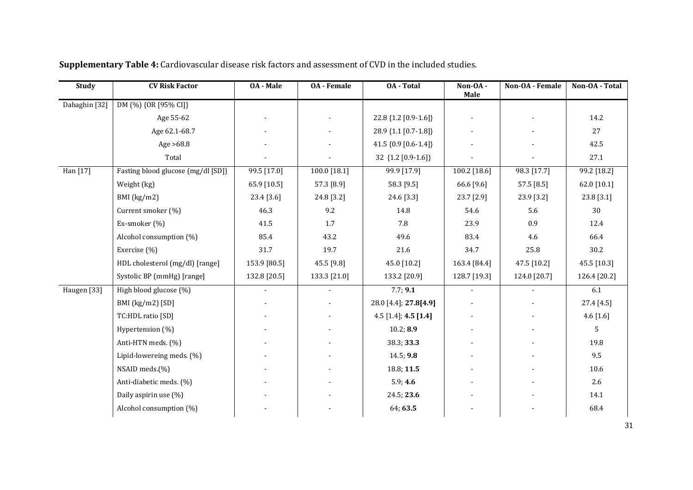| <b>Study</b>  | <b>CV Risk Factor</b>              | <b>OA</b> - Male | <b>OA</b> - Female | <b>0A</b> - Total     | Non-OA-<br>Male | Non-OA - Female | Non-OA - Total |
|---------------|------------------------------------|------------------|--------------------|-----------------------|-----------------|-----------------|----------------|
| Dahaghin [32] | DM (%) {OR [95% CI]}               |                  |                    |                       |                 |                 |                |
|               | Age 55-62                          |                  |                    | 22.8 {1.2 [0.9-1.6]}  |                 |                 | 14.2           |
|               | Age 62.1-68.7                      |                  |                    | 28.9 {1.1 [0.7-1.8]}  |                 |                 | 27             |
|               | Age $>68.8$                        |                  |                    | 41.5 {0.9 [0.6-1.4]}  |                 |                 | 42.5           |
|               | Total                              |                  |                    | 32 {1.2 [0.9-1.6]}    |                 |                 | 27.1           |
| Han [17]      | Fasting blood glucose (mg/dl [SD]) | 99.5 [17.0]      | $100.0$ [18.1]     | 99.9 [17.9]           | $100.2$ [18.6]  | 98.3 [17.7]     | 99.2 [18.2]    |
|               | Weight (kg)                        | 65.9 [10.5]      | 57.3 [8.9]         | 58.3 [9.5]            | 66.6 [9.6]      | 57.5 [8.5]      | 62.0 [10.1]    |
|               | BMI (kg/m2)                        | 23.4 [3.6]       | 24.8 [3.2]         | 24.6 [3.3]            | 23.7 [2.9]      | 23.9 [3.2]      | 23.8 [3.1]     |
|               | Current smoker (%)                 | 46.3             | 9.2                | 14.8                  | 54.6            | 5.6             | 30             |
|               | Ex-smoker (%)                      | 41.5             | 1.7                | 7.8                   | 23.9            | 0.9             | 12.4           |
|               | Alcohol consumption (%)            | 85.4             | 43.2               | 49.6                  | 83.4            | 4.6             | 66.4           |
|               | Exercise (%)                       | 31.7             | 19.7               | 21.6                  | 34.7            | 25.8            | 30.2           |
|               | HDL cholesterol (mg/dl) [range]    | 153.9 [80.5]     | 45.5 [9.8]         | 45.0 [10.2]           | 163.4 [84.4]    | 47.5 [10.2]     | 45.5 [10.3]    |
|               | Systolic BP (mmHg) [range]         | 132.8 [20.5]     | 133.3 [21.0]       | 133.2 [20.9]          | 128.7 [19.3]    | 124.0 [20.7]    | 126.4 [20.2]   |
| Haugen [33]   | High blood glucose (%)             | $\blacksquare$   | $\sim$             | 7.7; 9.1              | $\blacksquare$  | $\sim$          | 6.1            |
|               | BMI (kg/m2) [SD]                   |                  |                    | 28.0 [4.4]; 27.8[4.9] |                 |                 | 27.4 [4.5]     |
|               | TC:HDL ratio [SD]                  |                  |                    | 4.5 [1.4]; 4.5 [1.4]  |                 |                 | $4.6$ [1.6]    |
|               | Hypertension (%)                   |                  |                    | 10.2; 8.9             |                 |                 | 5              |
|               | Anti-HTN meds. (%)                 |                  |                    | 38.3; 33.3            |                 |                 | 19.8           |
|               | Lipid-lowereing meds. (%)          |                  |                    | 14.5; 9.8             |                 |                 | 9.5            |
|               | NSAID meds.(%)                     |                  |                    | 18.8; 11.5            |                 |                 | 10.6           |
|               | Anti-diabetic meds. (%)            |                  |                    | 5.9; 4.6              |                 |                 | 2.6            |
|               | Daily aspirin use (%)              |                  |                    | 24.5; 23.6            |                 |                 | 14.1           |
|               | Alcohol consumption (%)            |                  |                    | 64; 63.5              |                 |                 | 68.4           |

**Supplementary Table 4:** Cardiovascular disease risk factors and assessment of CVD in the included studies.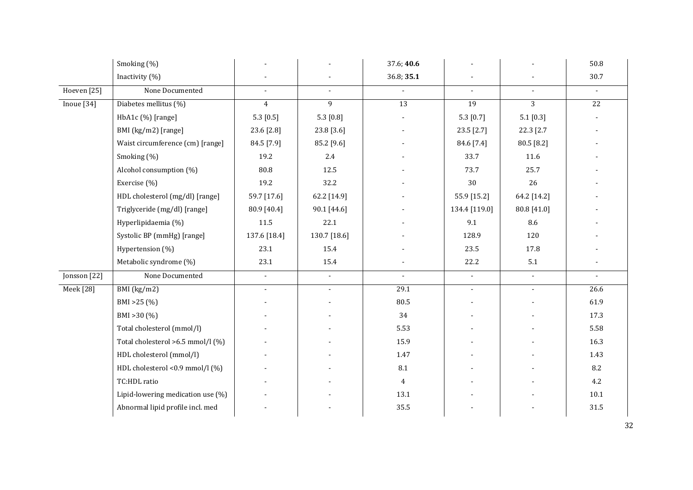|                  | Smoking (%)                       |                             |                | 37.6; 40.6     |                           |                | 50.8            |
|------------------|-----------------------------------|-----------------------------|----------------|----------------|---------------------------|----------------|-----------------|
|                  | Inactivity (%)                    |                             |                | 36.8; 35.1     |                           |                | 30.7            |
| Hoeven [25]      | None Documented                   | $\blacksquare$              | $\overline{a}$ | $\overline{a}$ | $\mathbb{Z}^{\mathbb{Z}}$ | $\mathbb{Z}^2$ | $\sim$          |
| Inoue $[34]$     | Diabetes mellitus (%)             | $\overline{4}$              | 9              | 13             | $\overline{19}$           | $\overline{3}$ | $\overline{22}$ |
|                  | HbA1c (%) [range]                 | 5.3 [0.5]                   | 5.3 $[0.8]$    |                | 5.3 $[0.7]$               | 5.1 [0.3]      |                 |
|                  | BMI (kg/m2) [range]               | 23.6 [2.8]                  | 23.8 [3.6]     |                | 23.5 [2.7]                | 22.3 [2.7      |                 |
|                  | Waist circumference (cm) [range]  | 84.5 [7.9]                  | 85.2 [9.6]     |                | 84.6 [7.4]                | 80.5 [8.2]     |                 |
|                  | Smoking (%)                       | 19.2                        | 2.4            |                | 33.7                      | 11.6           |                 |
|                  | Alcohol consumption (%)           | 80.8                        | 12.5           |                | 73.7                      | 25.7           |                 |
|                  | Exercise (%)                      | 19.2                        | 32.2           |                | $30\,$                    | 26             |                 |
|                  | HDL cholesterol (mg/dl) [range]   | 59.7 [17.6]                 | 62.2 [14.9]    |                | 55.9 [15.2]               | 64.2 [14.2]    |                 |
|                  | Triglyceride (mg/dl) [range]      | 80.9 [40.4]                 | 90.1 [44.6]    |                | 134.4 [119.0]             | 80.8 [41.0]    |                 |
|                  | Hyperlipidaemia (%)               | 11.5                        | 22.1           |                | 9.1                       | 8.6            |                 |
|                  | Systolic BP (mmHg) [range]        | 137.6 [18.4]                | 130.7 [18.6]   |                | 128.9                     | 120            |                 |
|                  | Hypertension (%)                  | 23.1                        | 15.4           |                | 23.5                      | 17.8           |                 |
|                  | Metabolic syndrome (%)            | 23.1                        | 15.4           |                | 22.2                      | $5.1\,$        |                 |
| Jonsson [22]     | None Documented                   | $\mathcal{L}_{\mathcal{A}}$ | $\blacksquare$ | $\blacksquare$ | $\mathbb{L}^+$            | $\sim$         | $\mathbb{Z}^2$  |
| <b>Meek</b> [28] | BMI (kg/m2)                       | $\blacksquare$              | $\mathcal{L}$  | 29.1           | $\mathbb{Z}^+$            | $\blacksquare$ | 26.6            |
|                  | BMI > 25 (%)                      |                             |                | 80.5           |                           |                | 61.9            |
|                  | BMI $>30$ (%)                     |                             |                | 34             |                           |                | 17.3            |
|                  | Total cholesterol (mmol/l)        |                             |                | 5.53           |                           |                | 5.58            |
|                  | Total cholesterol >6.5 mmol/l (%) |                             |                | 15.9           |                           |                | 16.3            |
|                  | HDL cholesterol (mmol/l)          |                             |                | 1.47           |                           |                | 1.43            |
|                  | HDL cholesterol <0.9 mmol/l (%)   |                             |                | 8.1            |                           |                | 8.2             |
|                  | TC:HDL ratio                      |                             |                | $\overline{4}$ |                           |                | 4.2             |
|                  | Lipid-lowering medication use (%) |                             |                | 13.1           |                           |                | 10.1            |
|                  | Abnormal lipid profile incl. med  |                             |                | 35.5           |                           |                | 31.5            |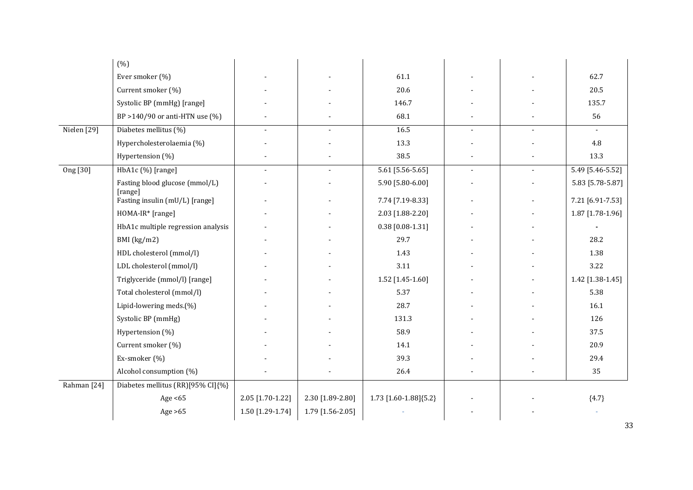|             | (% )                                      |                  |                  |                        |                          |                          |                  |
|-------------|-------------------------------------------|------------------|------------------|------------------------|--------------------------|--------------------------|------------------|
|             | Ever smoker (%)                           |                  |                  | 61.1                   |                          |                          | 62.7             |
|             | Current smoker (%)                        |                  |                  | 20.6                   |                          |                          | 20.5             |
|             | Systolic BP (mmHg) [range]                |                  |                  | 146.7                  |                          |                          | 135.7            |
|             | BP > 140/90 or anti-HTN use $(\%)$        |                  |                  | 68.1                   |                          |                          | 56               |
| Nielen [29] | Diabetes mellitus (%)                     | $\blacksquare$   | $\sim$           | 16.5                   | $\overline{\phantom{a}}$ | $\overline{\phantom{a}}$ | $\sim$           |
|             | Hypercholesterolaemia (%)                 |                  |                  | 13.3                   |                          |                          | 4.8              |
|             | Hypertension (%)                          |                  |                  | 38.5                   |                          |                          | 13.3             |
| Ong [30]    | HbA1c (%) [range]                         | $\mathbf{r}$     | $\sim$           | $5.61$ [5.56-5.65]     | $\mathbf{r}$             | $\blacksquare$           | 5.49 [5.46-5.52] |
|             | Fasting blood glucose (mmol/L)            |                  |                  | 5.90 [5.80-6.00]       |                          |                          | 5.83 [5.78-5.87] |
|             | [range]<br>Fasting insulin (mU/L) [range] |                  |                  | 7.74 [7.19-8.33]       |                          |                          | 7.21 [6.91-7.53] |
|             | HOMA-IR* [range]                          |                  |                  | 2.03 [1.88-2.20]       |                          |                          | 1.87 [1.78-1.96] |
|             | HbA1c multiple regression analysis        |                  |                  | $0.38$ [0.08-1.31]     |                          |                          |                  |
|             | BMI (kg/m2)                               |                  |                  | 29.7                   |                          |                          | 28.2             |
|             | HDL cholesterol (mmol/l)                  |                  |                  | 1.43                   |                          |                          | 1.38             |
|             | LDL cholesterol (mmol/l)                  |                  |                  | 3.11                   |                          |                          | 3.22             |
|             | Triglyceride (mmol/l) [range]             |                  |                  | 1.52 [1.45-1.60]       |                          |                          | 1.42 [1.38-1.45] |
|             | Total cholesterol (mmol/l)                |                  |                  | 5.37                   |                          |                          | 5.38             |
|             | Lipid-lowering meds.(%)                   |                  |                  | 28.7                   |                          |                          | 16.1             |
|             | Systolic BP (mmHg)                        |                  |                  | 131.3                  |                          |                          | 126              |
|             | Hypertension (%)                          |                  |                  | 58.9                   |                          |                          | 37.5             |
|             | Current smoker (%)                        |                  |                  | 14.1                   |                          |                          | 20.9             |
|             | Ex-smoker (%)                             |                  |                  | 39.3                   |                          |                          | 29.4             |
|             | Alcohol consumption (%)                   |                  |                  | 26.4                   |                          |                          | 35               |
| Rahman [24] | Diabetes mellitus (RR)[95% CI]{%}         |                  |                  |                        |                          |                          |                  |
|             | Age $<65$                                 | 2.05 [1.70-1.22] | 2.30 [1.89-2.80] | 1.73 [1.60-1.88] {5.2} |                          |                          | ${4.7}$          |
|             | Age $>65$                                 | 1.50 [1.29-1.74] | 1.79 [1.56-2.05] |                        |                          |                          |                  |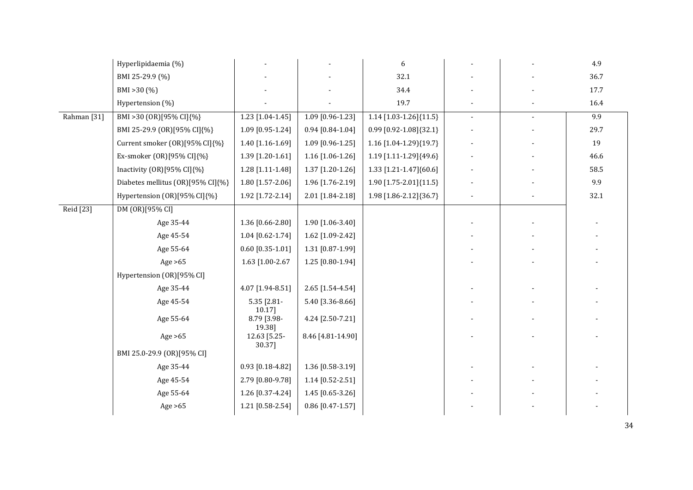|                        | Hyperlipidaemia (%)               |                          |                    | $\boldsymbol{6}$        |                          |                | 4.9  |
|------------------------|-----------------------------------|--------------------------|--------------------|-------------------------|--------------------------|----------------|------|
|                        | BMI 25-29.9 (%)                   |                          |                    | 32.1                    |                          |                | 36.7 |
|                        | BMI > 30 (%)                      |                          |                    | 34.4                    |                          |                | 17.7 |
|                        | Hypertension (%)                  |                          |                    | 19.7                    |                          |                | 16.4 |
| Rahman <sup>[31]</sup> | BMI >30 (OR)[95% CI]{%}           | 1.23 [1.04-1.45]         | $1.09$ [0.96-1.23] | 1.14 [1.03-1.26] {11.5} | $\overline{\phantom{a}}$ | $\blacksquare$ | 9.9  |
|                        | BMI 25-29.9 (OR)[95% CI]{%}       | 1.09 [0.95-1.24]         | $0.94$ [0.84-1.04] | 0.99 [0.92-1.08] {32.1} |                          |                | 29.7 |
|                        | Current smoker (OR)[95% CI]{%}    | 1.40 [1.16-1.69]         | 1.09 [0.96-1.25]   | 1.16 [1.04-1.29] {19.7} |                          |                | 19   |
|                        | Ex-smoker (OR)[95% CI]{%}         | 1.39 [1.20-1.61]         | 1.16 [1.06-1.26]   | 1.19 [1.11-1.29] {49.6} |                          |                | 46.6 |
|                        | Inactivity (OR)[95% CI]{%}        | 1.28 [1.11-1.48]         | 1.37 [1.20-1.26]   | 1.33 [1.21-1.47] {60.6] |                          |                | 58.5 |
|                        | Diabetes mellitus (OR)[95% CI]{%} | 1.80 [1.57-2.06]         | 1.96 [1.76-2.19]   | 1.90 [1.75-2.01] {11.5} |                          |                | 9.9  |
|                        | Hypertension (OR)[95% CI]{%}      | 1.92 [1.72-2.14]         | 2.01 [1.84-2.18]   | 1.98 [1.86-2.12] {36.7} |                          |                | 32.1 |
| <b>Reid</b> [23]       | DM (OR)[95% CI]                   |                          |                    |                         |                          |                |      |
|                        | Age 35-44                         | 1.36 [0.66-2.80]         | 1.90 [1.06-3.40]   |                         |                          |                |      |
|                        | Age 45-54                         | 1.04 [0.62-1.74]         | 1.62 [1.09-2.42]   |                         |                          |                |      |
|                        | Age 55-64                         | $0.60$ [0.35-1.01]       | 1.31 [0.87-1.99]   |                         |                          |                |      |
|                        | Age $>65$                         | 1.63 [1.00-2.67          | 1.25 [0.80-1.94]   |                         |                          |                |      |
|                        | Hypertension (OR)[95% CI]         |                          |                    |                         |                          |                |      |
|                        | Age 35-44                         | 4.07 [1.94-8.51]         | 2.65 [1.54-4.54]   |                         |                          |                |      |
|                        | Age 45-54                         | 5.35 [2.81-<br>$10.17$ ] | 5.40 [3.36-8.66]   |                         |                          |                |      |
|                        | Age 55-64                         | 8.79 [3.98-<br>19.38]    | 4.24 [2.50-7.21]   |                         |                          |                |      |
|                        | Age $>65$                         | 12.63 [5.25-<br>30.37]   | 8.46 [4.81-14.90]  |                         |                          |                |      |
|                        | BMI 25.0-29.9 (OR)[95% CI]        |                          |                    |                         |                          |                |      |
|                        | Age 35-44                         | $0.93$ [0.18-4.82]       | 1.36 [0.58-3.19]   |                         |                          |                |      |
|                        | Age 45-54                         | 2.79 [0.80-9.78]         | 1.14 [0.52-2.51]   |                         |                          |                |      |
|                        | Age 55-64                         | 1.26 [0.37-4.24]         | 1.45 [0.65-3.26]   |                         |                          |                |      |
|                        | Age $>65$                         | 1.21 [0.58-2.54]         | $0.86$ [0.47-1.57] |                         |                          |                |      |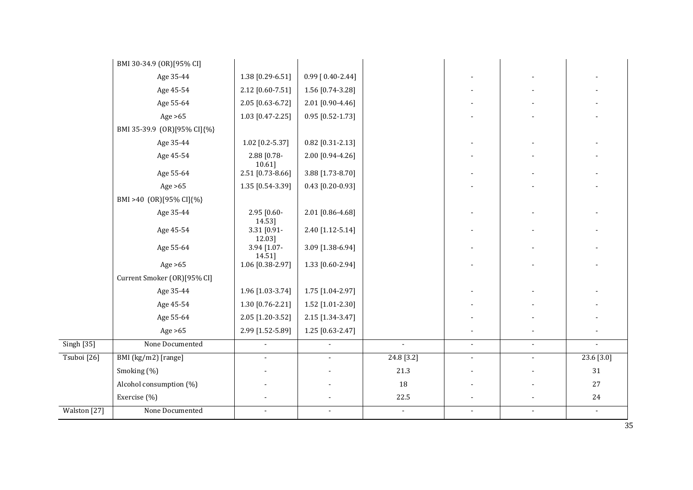|                   | BMI 30-34.9 (OR)[95% CI]    |                       |                          |              |                |                |                |
|-------------------|-----------------------------|-----------------------|--------------------------|--------------|----------------|----------------|----------------|
|                   | Age 35-44                   | 1.38 [0.29-6.51]      | $0.99$ [ $0.40 - 2.44$ ] |              |                |                |                |
|                   | Age 45-54                   | 2.12 [0.60-7.51]      | 1.56 [0.74-3.28]         |              |                |                |                |
|                   | Age 55-64                   | 2.05 [0.63-6.72]      | 2.01 [0.90-4.46]         |              |                |                |                |
|                   | Age $>65$                   | 1.03 [0.47-2.25]      | $0.95$ [0.52-1.73]       |              |                |                |                |
|                   | BMI 35-39.9 (OR)[95% CI]{%} |                       |                          |              |                |                |                |
|                   | Age 35-44                   | $1.02$ [0.2-5.37]     | $0.82$ [0.31-2.13]       |              |                |                |                |
|                   | Age 45-54                   | 2.88 [0.78-<br>10.61] | 2.00 [0.94-4.26]         |              |                |                |                |
|                   | Age 55-64                   | 2.51 [0.73-8.66]      | 3.88 [1.73-8.70]         |              |                |                |                |
|                   | Age $>65$                   | 1.35 [0.54-3.39]      | $0.43$ [0.20-0.93]       |              |                |                |                |
|                   | BMI >40 (OR)[95% CI]{%}     |                       |                          |              |                |                |                |
|                   | Age 35-44                   | 2.95 [0.60-<br>14.53] | 2.01 [0.86-4.68]         |              |                |                |                |
|                   | Age 45-54                   | 3.31 [0.91-<br>12.03] | 2.40 [1.12-5.14]         |              |                |                |                |
|                   | Age 55-64                   | 3.94 [1.07-<br>14.51] | 3.09 [1.38-6.94]         |              |                |                |                |
|                   | Age $>65$                   | 1.06 [0.38-2.97]      | 1.33 [0.60-2.94]         |              |                |                |                |
|                   | Current Smoker (OR)[95% CI] |                       |                          |              |                |                |                |
|                   | Age 35-44                   | 1.96 [1.03-3.74]      | 1.75 [1.04-2.97]         |              |                |                |                |
|                   | Age 45-54                   | 1.30 [0.76-2.21]      | 1.52 [1.01-2.30]         |              |                |                |                |
|                   | Age 55-64                   | 2.05 [1.20-3.52]      | 2.15 [1.34-3.47]         |              |                |                |                |
|                   | Age $>65$                   | 2.99 [1.52-5.89]      | 1.25 [0.63-2.47]         |              |                |                |                |
| <b>Singh [35]</b> | None Documented             |                       |                          | $\mathbf{r}$ | $\mathcal{L}$  | $\overline{a}$ | $\overline{a}$ |
| Tsuboi [26]       | BMI (kg/m2) [range]         | $\mathbf{r}$          | $\overline{a}$           | 24.8 [3.2]   | $\blacksquare$ | $\mathbf{r}$   | 23.6 [3.0]     |
|                   | Smoking (%)                 |                       |                          | 21.3         |                |                | $31\,$         |
|                   | Alcohol consumption (%)     |                       |                          | 18           |                |                | 27             |
|                   | Exercise (%)                |                       |                          | 22.5         |                |                | 24             |
| Walston [27]      | None Documented             | $\overline{a}$        | $\overline{a}$           | $\mathbf{r}$ | $\mathbf{r}$   | $\overline{a}$ | $\blacksquare$ |